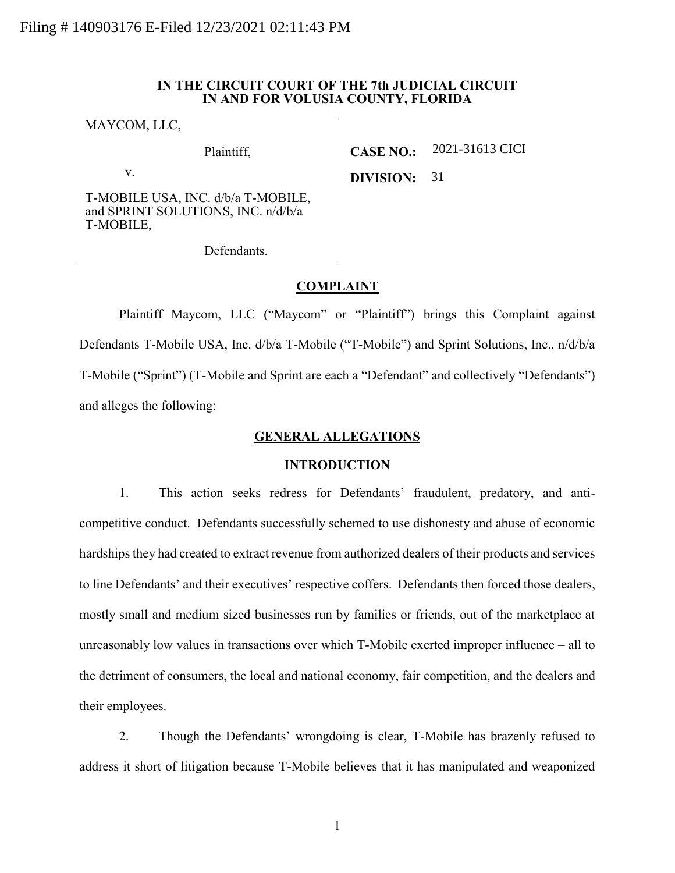### **IN THE CIRCUIT COURT OF THE 7th JUDICIAL CIRCUIT IN AND FOR VOLUSIA COUNTY, FLORIDA**

MAYCOM, LLC,

Plaintiff,

v.

T-MOBILE USA, INC. d/b/a T-MOBILE, and SPRINT SOLUTIONS, INC. n/d/b/a T-MOBILE,

Defendants.

**CASE NO.:** 2021-31613 CICI

**DIVISION:** 31

**COMPLAINT**

Plaintiff Maycom, LLC ("Maycom" or "Plaintiff") brings this Complaint against Defendants T-Mobile USA, Inc. d/b/a T-Mobile ("T-Mobile") and Sprint Solutions, Inc., n/d/b/a T-Mobile ("Sprint") (T-Mobile and Sprint are each a "Defendant" and collectively "Defendants") and alleges the following:

# **GENERAL ALLEGATIONS**

# **INTRODUCTION**

1. This action seeks redress for Defendants' fraudulent, predatory, and anticompetitive conduct. Defendants successfully schemed to use dishonesty and abuse of economic hardships they had created to extract revenue from authorized dealers of their products and services to line Defendants' and their executives' respective coffers. Defendants then forced those dealers, mostly small and medium sized businesses run by families or friends, out of the marketplace at unreasonably low values in transactions over which T-Mobile exerted improper influence – all to the detriment of consumers, the local and national economy, fair competition, and the dealers and their employees.

2. Though the Defendants' wrongdoing is clear, T-Mobile has brazenly refused to address it short of litigation because T-Mobile believes that it has manipulated and weaponized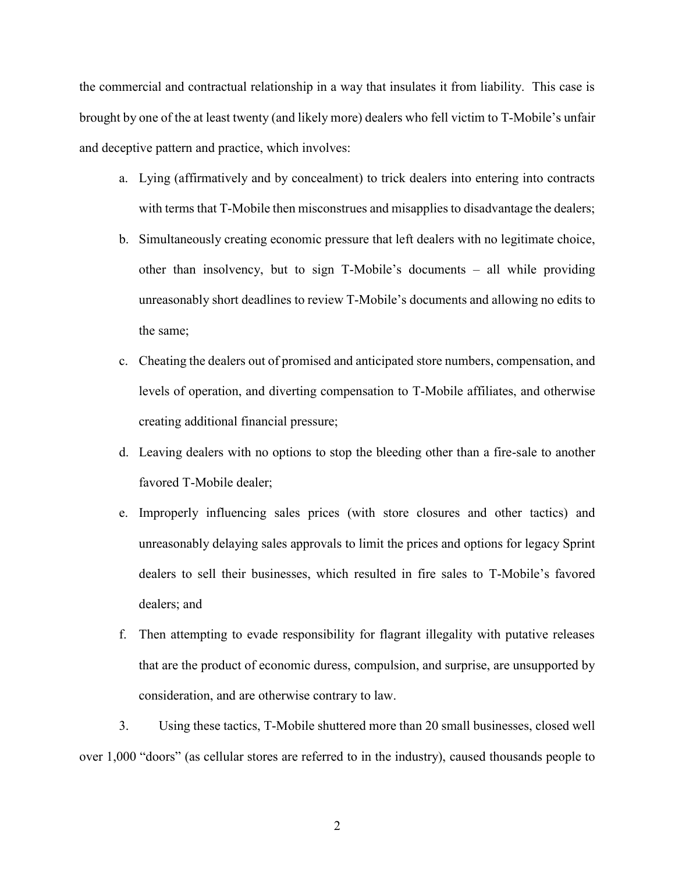the commercial and contractual relationship in a way that insulates it from liability. This case is brought by one of the at least twenty (and likely more) dealers who fell victim to T-Mobile's unfair and deceptive pattern and practice, which involves:

- a. Lying (affirmatively and by concealment) to trick dealers into entering into contracts with terms that T-Mobile then misconstrues and misapplies to disadvantage the dealers;
- b. Simultaneously creating economic pressure that left dealers with no legitimate choice, other than insolvency, but to sign T-Mobile's documents – all while providing unreasonably short deadlines to review T-Mobile's documents and allowing no edits to the same;
- c. Cheating the dealers out of promised and anticipated store numbers, compensation, and levels of operation, and diverting compensation to T-Mobile affiliates, and otherwise creating additional financial pressure;
- d. Leaving dealers with no options to stop the bleeding other than a fire-sale to another favored T-Mobile dealer;
- e. Improperly influencing sales prices (with store closures and other tactics) and unreasonably delaying sales approvals to limit the prices and options for legacy Sprint dealers to sell their businesses, which resulted in fire sales to T-Mobile's favored dealers; and
- f. Then attempting to evade responsibility for flagrant illegality with putative releases that are the product of economic duress, compulsion, and surprise, are unsupported by consideration, and are otherwise contrary to law.

3. Using these tactics, T-Mobile shuttered more than 20 small businesses, closed well over 1,000 "doors" (as cellular stores are referred to in the industry), caused thousands people to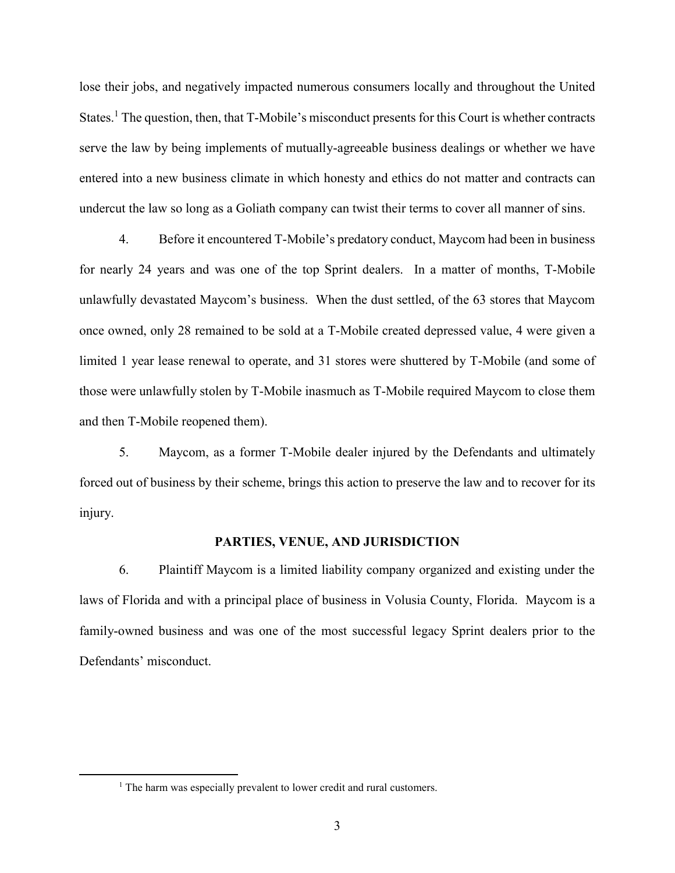lose their jobs, and negatively impacted numerous consumers locally and throughout the United States.<sup>1</sup> The question, then, that T-Mobile's misconduct presents for this Court is whether contracts serve the law by being implements of mutually-agreeable business dealings or whether we have entered into a new business climate in which honesty and ethics do not matter and contracts can undercut the law so long as a Goliath company can twist their terms to cover all manner of sins.

4. Before it encountered T-Mobile's predatory conduct, Maycom had been in business for nearly 24 years and was one of the top Sprint dealers. In a matter of months, T-Mobile unlawfully devastated Maycom's business. When the dust settled, of the 63 stores that Maycom once owned, only 28 remained to be sold at a T-Mobile created depressed value, 4 were given a limited 1 year lease renewal to operate, and 31 stores were shuttered by T-Mobile (and some of those were unlawfully stolen by T-Mobile inasmuch as T-Mobile required Maycom to close them and then T-Mobile reopened them).

5. Maycom, as a former T-Mobile dealer injured by the Defendants and ultimately forced out of business by their scheme, brings this action to preserve the law and to recover for its injury.

### **PARTIES, VENUE, AND JURISDICTION**

6. Plaintiff Maycom is a limited liability company organized and existing under the laws of Florida and with a principal place of business in Volusia County, Florida. Maycom is a family-owned business and was one of the most successful legacy Sprint dealers prior to the Defendants' misconduct.

<sup>&</sup>lt;sup>1</sup> The harm was especially prevalent to lower credit and rural customers.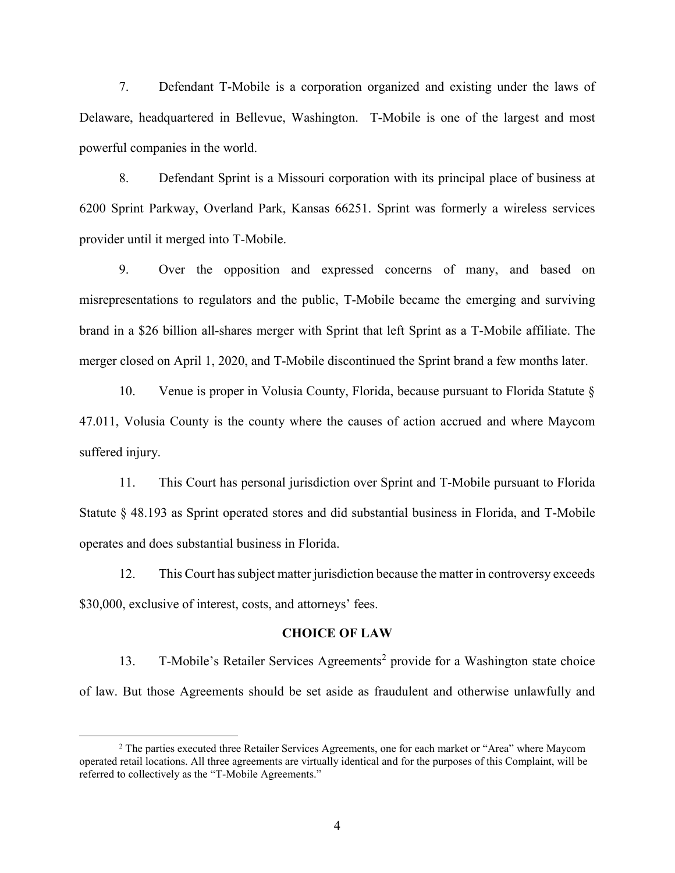7. Defendant T-Mobile is a corporation organized and existing under the laws of Delaware, headquartered in Bellevue, Washington. T-Mobile is one of the largest and most powerful companies in the world.

8. Defendant Sprint is a Missouri corporation with its principal place of business at 6200 Sprint Parkway, Overland Park, Kansas 66251. Sprint was formerly a wireless services provider until it merged into T-Mobile.

9. Over the opposition and expressed concerns of many, and based on misrepresentations to regulators and the public, T-Mobile became the emerging and surviving brand in a \$26 billion all-shares merger with Sprint that left Sprint as a T-Mobile affiliate. The merger closed on April 1, 2020, and T-Mobile discontinued the Sprint brand a few months later.

10. Venue is proper in Volusia County, Florida, because pursuant to Florida Statute § 47.011, Volusia County is the county where the causes of action accrued and where Maycom suffered injury.

11. This Court has personal jurisdiction over Sprint and T-Mobile pursuant to Florida Statute § 48.193 as Sprint operated stores and did substantial business in Florida, and T-Mobile operates and does substantial business in Florida.

12. This Court has subject matter jurisdiction because the matter in controversy exceeds \$30,000, exclusive of interest, costs, and attorneys' fees.

#### **CHOICE OF LAW**

13. T-Mobile's Retailer Services Agreements<sup>2</sup> provide for a Washington state choice of law. But those Agreements should be set aside as fraudulent and otherwise unlawfully and

<sup>2</sup> The parties executed three Retailer Services Agreements, one for each market or "Area" where Maycom operated retail locations. All three agreements are virtually identical and for the purposes of this Complaint, will be referred to collectively as the "T-Mobile Agreements."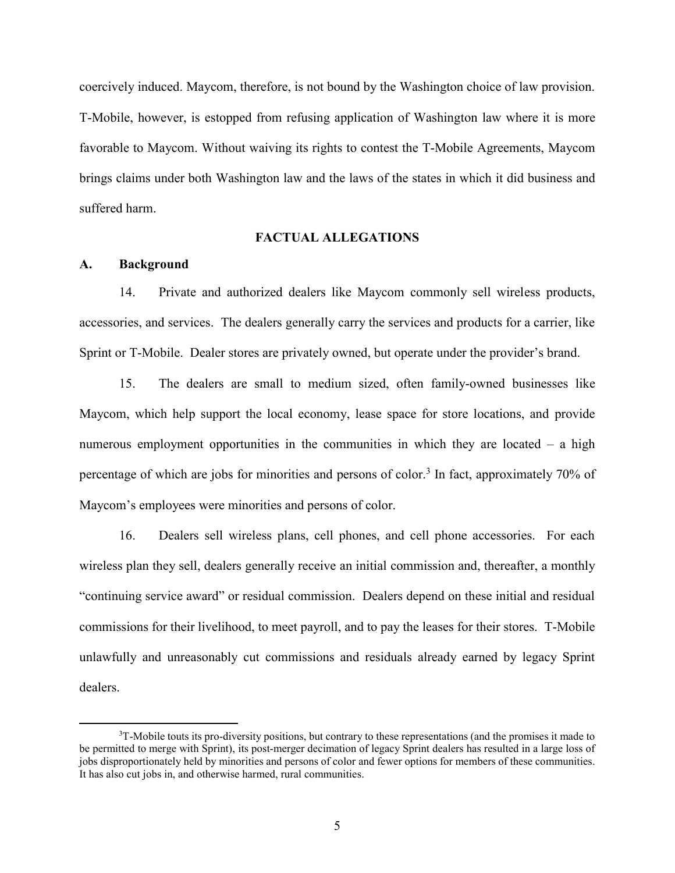coercively induced. Maycom, therefore, is not bound by the Washington choice of law provision. T-Mobile, however, is estopped from refusing application of Washington law where it is more favorable to Maycom. Without waiving its rights to contest the T-Mobile Agreements, Maycom brings claims under both Washington law and the laws of the states in which it did business and suffered harm.

# **FACTUAL ALLEGATIONS**

#### **A. Background**

 $\overline{a}$ 

14. Private and authorized dealers like Maycom commonly sell wireless products, accessories, and services. The dealers generally carry the services and products for a carrier, like Sprint or T-Mobile. Dealer stores are privately owned, but operate under the provider's brand.

15. The dealers are small to medium sized, often family-owned businesses like Maycom, which help support the local economy, lease space for store locations, and provide numerous employment opportunities in the communities in which they are located – a high percentage of which are jobs for minorities and persons of color.<sup>3</sup> In fact, approximately 70% of Maycom's employees were minorities and persons of color.

16. Dealers sell wireless plans, cell phones, and cell phone accessories. For each wireless plan they sell, dealers generally receive an initial commission and, thereafter, a monthly "continuing service award" or residual commission. Dealers depend on these initial and residual commissions for their livelihood, to meet payroll, and to pay the leases for their stores. T-Mobile unlawfully and unreasonably cut commissions and residuals already earned by legacy Sprint dealers.

<sup>&</sup>lt;sup>3</sup>T-Mobile touts its pro-diversity positions, but contrary to these representations (and the promises it made to be permitted to merge with Sprint), its post-merger decimation of legacy Sprint dealers has resulted in a large loss of jobs disproportionately held by minorities and persons of color and fewer options for members of these communities. It has also cut jobs in, and otherwise harmed, rural communities.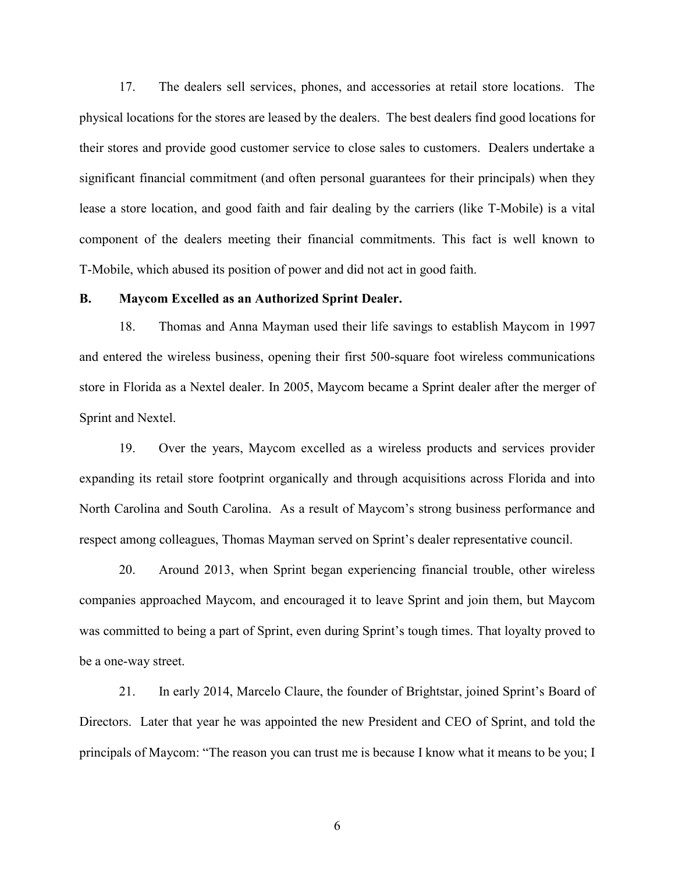17. The dealers sell services, phones, and accessories at retail store locations. The physical locations for the stores are leased by the dealers. The best dealers find good locations for their stores and provide good customer service to close sales to customers. Dealers undertake a significant financial commitment (and often personal guarantees for their principals) when they lease a store location, and good faith and fair dealing by the carriers (like T-Mobile) is a vital component of the dealers meeting their financial commitments. This fact is well known to T-Mobile, which abused its position of power and did not act in good faith.

#### **B. Maycom Excelled as an Authorized Sprint Dealer.**

18. Thomas and Anna Mayman used their life savings to establish Maycom in 1997 and entered the wireless business, opening their first 500-square foot wireless communications store in Florida as a Nextel dealer. In 2005, Maycom became a Sprint dealer after the merger of Sprint and Nextel.

19. Over the years, Maycom excelled as a wireless products and services provider expanding its retail store footprint organically and through acquisitions across Florida and into North Carolina and South Carolina. As a result of Maycom's strong business performance and respect among colleagues, Thomas Mayman served on Sprint's dealer representative council.

20. Around 2013, when Sprint began experiencing financial trouble, other wireless companies approached Maycom, and encouraged it to leave Sprint and join them, but Maycom was committed to being a part of Sprint, even during Sprint's tough times. That loyalty proved to be a one-way street.

21. In early 2014, Marcelo Claure, the founder of Brightstar, joined Sprint's Board of Directors. Later that year he was appointed the new President and CEO of Sprint, and told the principals of Maycom: "The reason you can trust me is because I know what it means to be you; I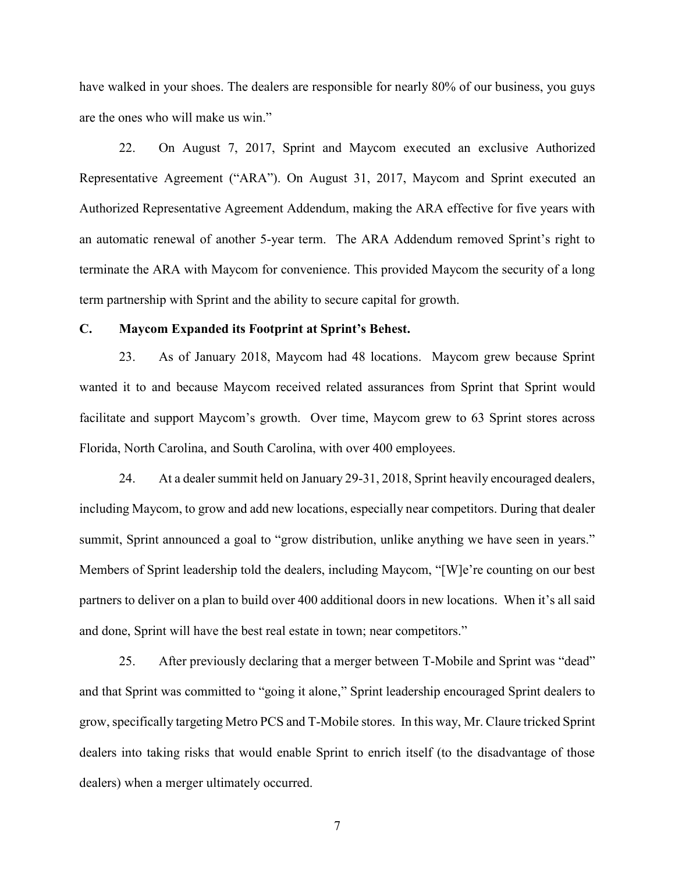have walked in your shoes. The dealers are responsible for nearly 80% of our business, you guys are the ones who will make us win."

22. On August 7, 2017, Sprint and Maycom executed an exclusive Authorized Representative Agreement ("ARA"). On August 31, 2017, Maycom and Sprint executed an Authorized Representative Agreement Addendum, making the ARA effective for five years with an automatic renewal of another 5-year term. The ARA Addendum removed Sprint's right to terminate the ARA with Maycom for convenience. This provided Maycom the security of a long term partnership with Sprint and the ability to secure capital for growth.

### **C. Maycom Expanded its Footprint at Sprint's Behest.**

23. As of January 2018, Maycom had 48 locations. Maycom grew because Sprint wanted it to and because Maycom received related assurances from Sprint that Sprint would facilitate and support Maycom's growth. Over time, Maycom grew to 63 Sprint stores across Florida, North Carolina, and South Carolina, with over 400 employees.

24. At a dealer summit held on January 29-31, 2018, Sprint heavily encouraged dealers, including Maycom, to grow and add new locations, especially near competitors. During that dealer summit, Sprint announced a goal to "grow distribution, unlike anything we have seen in years." Members of Sprint leadership told the dealers, including Maycom, "[W]e're counting on our best partners to deliver on a plan to build over 400 additional doors in new locations. When it's all said and done, Sprint will have the best real estate in town; near competitors."

25. After previously declaring that a merger between T-Mobile and Sprint was "dead" and that Sprint was committed to "going it alone," Sprint leadership encouraged Sprint dealers to grow, specifically targeting Metro PCS and T-Mobile stores. In this way, Mr. Claure tricked Sprint dealers into taking risks that would enable Sprint to enrich itself (to the disadvantage of those dealers) when a merger ultimately occurred.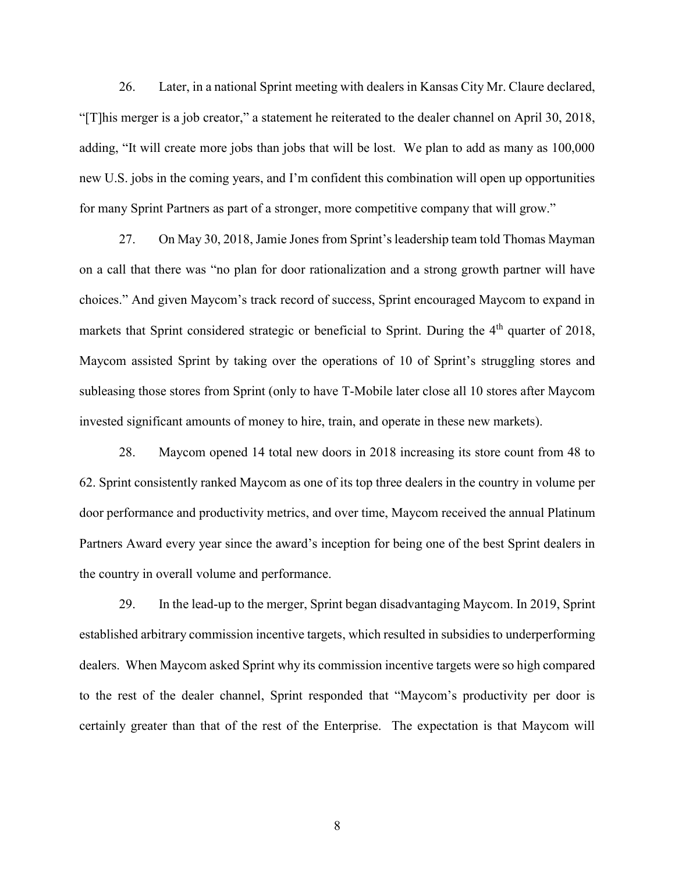26. Later, in a national Sprint meeting with dealers in Kansas City Mr. Claure declared, "[T]his merger is a job creator," a statement he reiterated to the dealer channel on April 30, 2018, adding, "It will create more jobs than jobs that will be lost. We plan to add as many as 100,000 new U.S. jobs in the coming years, and I'm confident this combination will open up opportunities for many Sprint Partners as part of a stronger, more competitive company that will grow."

27. On May 30, 2018, Jamie Jones from Sprint's leadership team told Thomas Mayman on a call that there was "no plan for door rationalization and a strong growth partner will have choices." And given Maycom's track record of success, Sprint encouraged Maycom to expand in markets that Sprint considered strategic or beneficial to Sprint. During the  $4<sup>th</sup>$  quarter of 2018, Maycom assisted Sprint by taking over the operations of 10 of Sprint's struggling stores and subleasing those stores from Sprint (only to have T-Mobile later close all 10 stores after Maycom invested significant amounts of money to hire, train, and operate in these new markets).

28. Maycom opened 14 total new doors in 2018 increasing its store count from 48 to 62. Sprint consistently ranked Maycom as one of its top three dealers in the country in volume per door performance and productivity metrics, and over time, Maycom received the annual Platinum Partners Award every year since the award's inception for being one of the best Sprint dealers in the country in overall volume and performance.

29. In the lead-up to the merger, Sprint began disadvantaging Maycom. In 2019, Sprint established arbitrary commission incentive targets, which resulted in subsidies to underperforming dealers. When Maycom asked Sprint why its commission incentive targets were so high compared to the rest of the dealer channel, Sprint responded that "Maycom's productivity per door is certainly greater than that of the rest of the Enterprise. The expectation is that Maycom will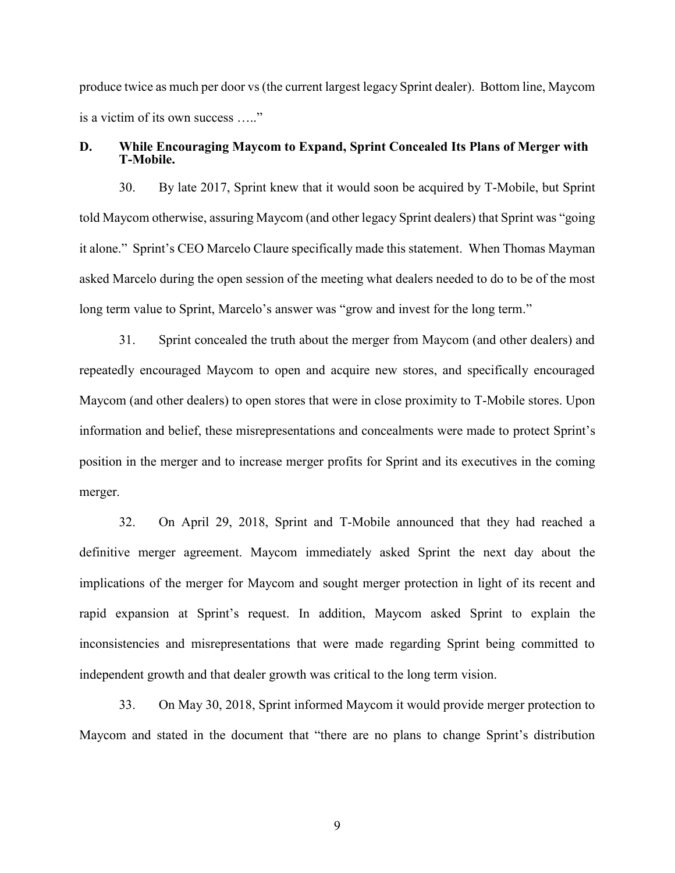produce twice as much per door vs (the current largest legacy Sprint dealer). Bottom line, Maycom is a victim of its own success ….."

### **D. While Encouraging Maycom to Expand, Sprint Concealed Its Plans of Merger with T-Mobile.**

30. By late 2017, Sprint knew that it would soon be acquired by T-Mobile, but Sprint told Maycom otherwise, assuring Maycom (and other legacy Sprint dealers) that Sprint was "going it alone." Sprint's CEO Marcelo Claure specifically made this statement. When Thomas Mayman asked Marcelo during the open session of the meeting what dealers needed to do to be of the most long term value to Sprint, Marcelo's answer was "grow and invest for the long term."

31. Sprint concealed the truth about the merger from Maycom (and other dealers) and repeatedly encouraged Maycom to open and acquire new stores, and specifically encouraged Maycom (and other dealers) to open stores that were in close proximity to T-Mobile stores. Upon information and belief, these misrepresentations and concealments were made to protect Sprint's position in the merger and to increase merger profits for Sprint and its executives in the coming merger.

32. On April 29, 2018, Sprint and T-Mobile announced that they had reached a definitive merger agreement. Maycom immediately asked Sprint the next day about the implications of the merger for Maycom and sought merger protection in light of its recent and rapid expansion at Sprint's request. In addition, Maycom asked Sprint to explain the inconsistencies and misrepresentations that were made regarding Sprint being committed to independent growth and that dealer growth was critical to the long term vision.

33. On May 30, 2018, Sprint informed Maycom it would provide merger protection to Maycom and stated in the document that "there are no plans to change Sprint's distribution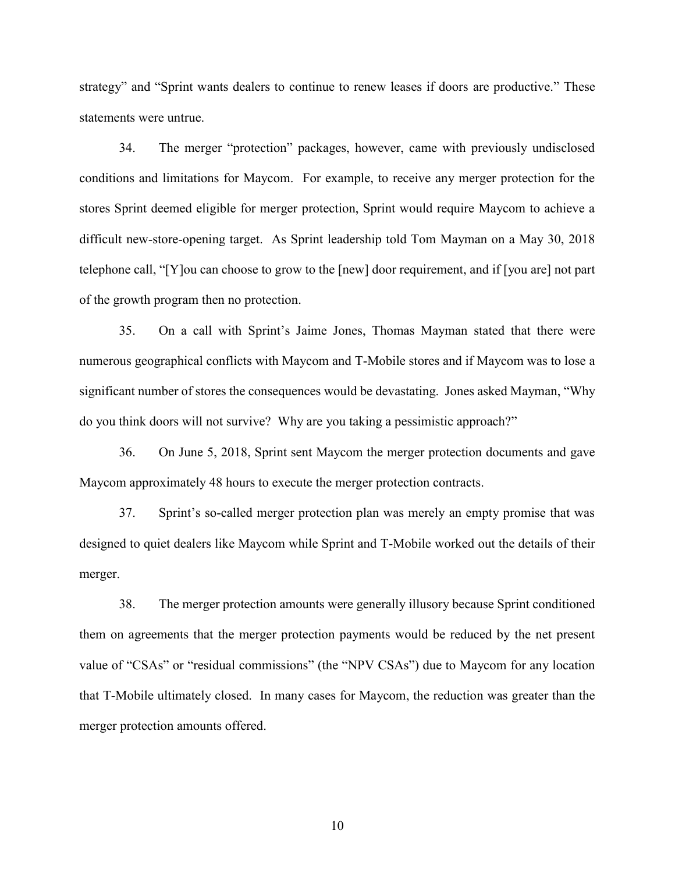strategy" and "Sprint wants dealers to continue to renew leases if doors are productive." These statements were untrue.

34. The merger "protection" packages, however, came with previously undisclosed conditions and limitations for Maycom. For example, to receive any merger protection for the stores Sprint deemed eligible for merger protection, Sprint would require Maycom to achieve a difficult new-store-opening target. As Sprint leadership told Tom Mayman on a May 30, 2018 telephone call, "[Y]ou can choose to grow to the [new] door requirement, and if [you are] not part of the growth program then no protection.

35. On a call with Sprint's Jaime Jones, Thomas Mayman stated that there were numerous geographical conflicts with Maycom and T-Mobile stores and if Maycom was to lose a significant number of stores the consequences would be devastating. Jones asked Mayman, "Why do you think doors will not survive? Why are you taking a pessimistic approach?"

36. On June 5, 2018, Sprint sent Maycom the merger protection documents and gave Maycom approximately 48 hours to execute the merger protection contracts.

37. Sprint's so-called merger protection plan was merely an empty promise that was designed to quiet dealers like Maycom while Sprint and T-Mobile worked out the details of their merger.

38. The merger protection amounts were generally illusory because Sprint conditioned them on agreements that the merger protection payments would be reduced by the net present value of "CSAs" or "residual commissions" (the "NPV CSAs") due to Maycom for any location that T-Mobile ultimately closed. In many cases for Maycom, the reduction was greater than the merger protection amounts offered.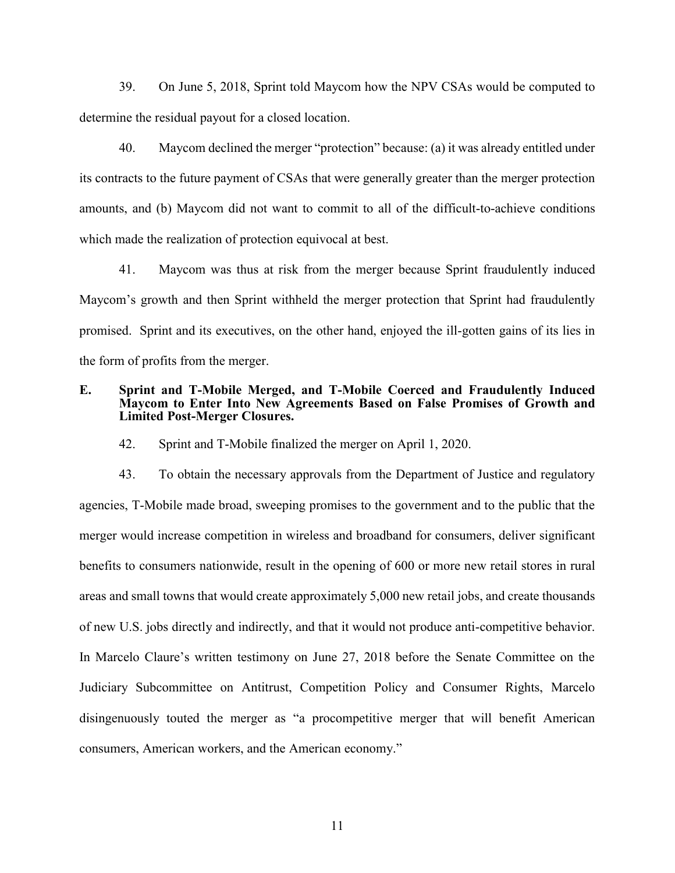39. On June 5, 2018, Sprint told Maycom how the NPV CSAs would be computed to determine the residual payout for a closed location.

40. Maycom declined the merger "protection" because: (a) it was already entitled under its contracts to the future payment of CSAs that were generally greater than the merger protection amounts, and (b) Maycom did not want to commit to all of the difficult-to-achieve conditions which made the realization of protection equivocal at best.

41. Maycom was thus at risk from the merger because Sprint fraudulently induced Maycom's growth and then Sprint withheld the merger protection that Sprint had fraudulently promised. Sprint and its executives, on the other hand, enjoyed the ill-gotten gains of its lies in the form of profits from the merger.

### **E. Sprint and T-Mobile Merged, and T-Mobile Coerced and Fraudulently Induced Maycom to Enter Into New Agreements Based on False Promises of Growth and Limited Post-Merger Closures.**

42. Sprint and T-Mobile finalized the merger on April 1, 2020.

43. To obtain the necessary approvals from the Department of Justice and regulatory agencies, T-Mobile made broad, sweeping promises to the government and to the public that the merger would increase competition in wireless and broadband for consumers, deliver significant benefits to consumers nationwide, result in the opening of 600 or more new retail stores in rural areas and small towns that would create approximately 5,000 new retail jobs, and create thousands of new U.S. jobs directly and indirectly, and that it would not produce anti-competitive behavior. In Marcelo Claure's written testimony on June 27, 2018 before the Senate Committee on the Judiciary Subcommittee on Antitrust, Competition Policy and Consumer Rights, Marcelo disingenuously touted the merger as "a procompetitive merger that will benefit American consumers, American workers, and the American economy."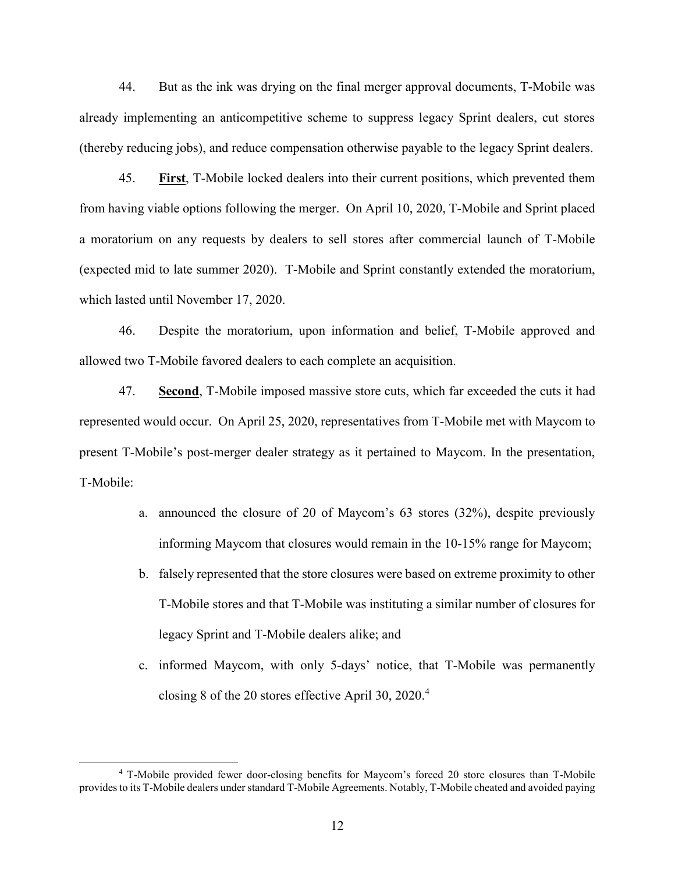44. But as the ink was drying on the final merger approval documents, T-Mobile was already implementing an anticompetitive scheme to suppress legacy Sprint dealers, cut stores (thereby reducing jobs), and reduce compensation otherwise payable to the legacy Sprint dealers.

45. **First**, T-Mobile locked dealers into their current positions, which prevented them from having viable options following the merger. On April 10, 2020, T-Mobile and Sprint placed a moratorium on any requests by dealers to sell stores after commercial launch of T-Mobile (expected mid to late summer 2020). T-Mobile and Sprint constantly extended the moratorium, which lasted until November 17, 2020.

46. Despite the moratorium, upon information and belief, T-Mobile approved and allowed two T-Mobile favored dealers to each complete an acquisition.

47. **Second**, T-Mobile imposed massive store cuts, which far exceeded the cuts it had represented would occur. On April 25, 2020, representatives from T-Mobile met with Maycom to present T-Mobile's post-merger dealer strategy as it pertained to Maycom. In the presentation, T-Mobile:

- a. announced the closure of 20 of Maycom's 63 stores (32%), despite previously informing Maycom that closures would remain in the 10-15% range for Maycom;
- b. falsely represented that the store closures were based on extreme proximity to other T-Mobile stores and that T-Mobile was instituting a similar number of closures for legacy Sprint and T-Mobile dealers alike; and
- c. informed Maycom, with only 5-days' notice, that T-Mobile was permanently closing 8 of the 20 stores effective April 30, 2020. 4

<sup>4</sup> T-Mobile provided fewer door-closing benefits for Maycom's forced 20 store closures than T-Mobile provides to its T-Mobile dealers under standard T-Mobile Agreements. Notably, T-Mobile cheated and avoided paying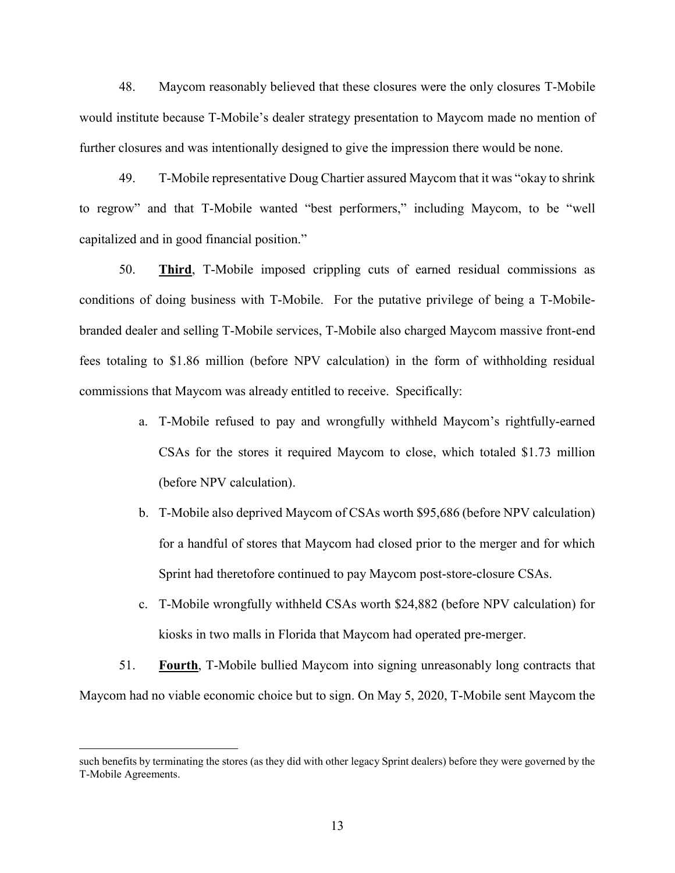48. Maycom reasonably believed that these closures were the only closures T-Mobile would institute because T-Mobile's dealer strategy presentation to Maycom made no mention of further closures and was intentionally designed to give the impression there would be none.

49. T-Mobile representative Doug Chartier assured Maycom that it was "okay to shrink to regrow" and that T-Mobile wanted "best performers," including Maycom, to be "well capitalized and in good financial position."

50. **Third**, T-Mobile imposed crippling cuts of earned residual commissions as conditions of doing business with T-Mobile. For the putative privilege of being a T-Mobilebranded dealer and selling T-Mobile services, T-Mobile also charged Maycom massive front-end fees totaling to \$1.86 million (before NPV calculation) in the form of withholding residual commissions that Maycom was already entitled to receive. Specifically:

- a. T-Mobile refused to pay and wrongfully withheld Maycom's rightfully-earned CSAs for the stores it required Maycom to close, which totaled \$1.73 million (before NPV calculation).
- b. T-Mobile also deprived Maycom of CSAs worth \$95,686 (before NPV calculation) for a handful of stores that Maycom had closed prior to the merger and for which Sprint had theretofore continued to pay Maycom post-store-closure CSAs.
- c. T-Mobile wrongfully withheld CSAs worth \$24,882 (before NPV calculation) for kiosks in two malls in Florida that Maycom had operated pre-merger.
- 51. **Fourth**, T-Mobile bullied Maycom into signing unreasonably long contracts that Maycom had no viable economic choice but to sign. On May 5, 2020, T-Mobile sent Maycom the

such benefits by terminating the stores (as they did with other legacy Sprint dealers) before they were governed by the T-Mobile Agreements.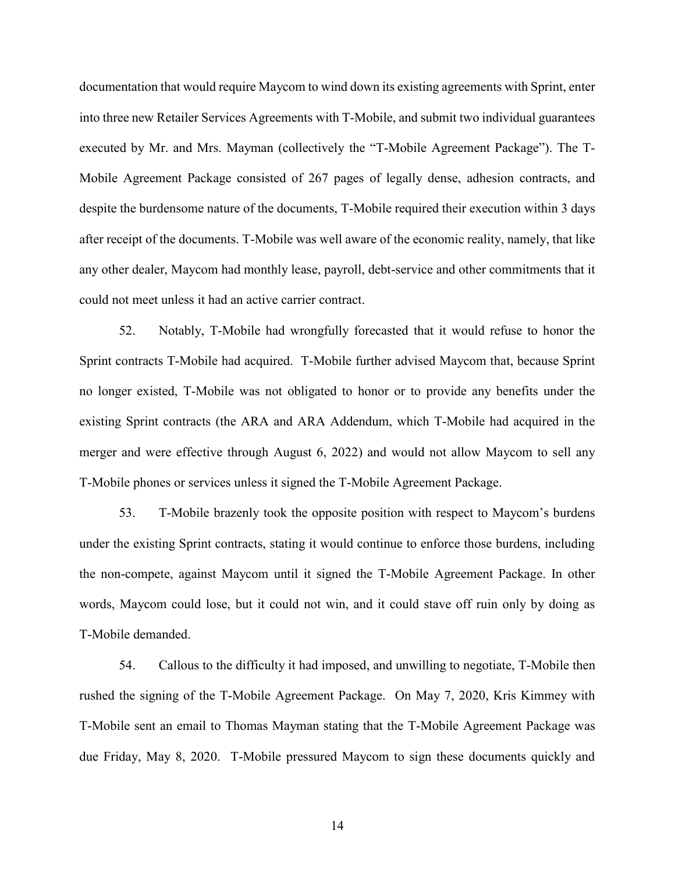documentation that would require Maycom to wind down its existing agreements with Sprint, enter into three new Retailer Services Agreements with T-Mobile, and submit two individual guarantees executed by Mr. and Mrs. Mayman (collectively the "T-Mobile Agreement Package"). The T-Mobile Agreement Package consisted of 267 pages of legally dense, adhesion contracts, and despite the burdensome nature of the documents, T-Mobile required their execution within 3 days after receipt of the documents. T-Mobile was well aware of the economic reality, namely, that like any other dealer, Maycom had monthly lease, payroll, debt-service and other commitments that it could not meet unless it had an active carrier contract.

52. Notably, T-Mobile had wrongfully forecasted that it would refuse to honor the Sprint contracts T-Mobile had acquired. T-Mobile further advised Maycom that, because Sprint no longer existed, T-Mobile was not obligated to honor or to provide any benefits under the existing Sprint contracts (the ARA and ARA Addendum, which T-Mobile had acquired in the merger and were effective through August 6, 2022) and would not allow Maycom to sell any T-Mobile phones or services unless it signed the T-Mobile Agreement Package.

53. T-Mobile brazenly took the opposite position with respect to Maycom's burdens under the existing Sprint contracts, stating it would continue to enforce those burdens, including the non-compete, against Maycom until it signed the T-Mobile Agreement Package. In other words, Maycom could lose, but it could not win, and it could stave off ruin only by doing as T-Mobile demanded.

54. Callous to the difficulty it had imposed, and unwilling to negotiate, T-Mobile then rushed the signing of the T-Mobile Agreement Package. On May 7, 2020, Kris Kimmey with T-Mobile sent an email to Thomas Mayman stating that the T-Mobile Agreement Package was due Friday, May 8, 2020. T-Mobile pressured Maycom to sign these documents quickly and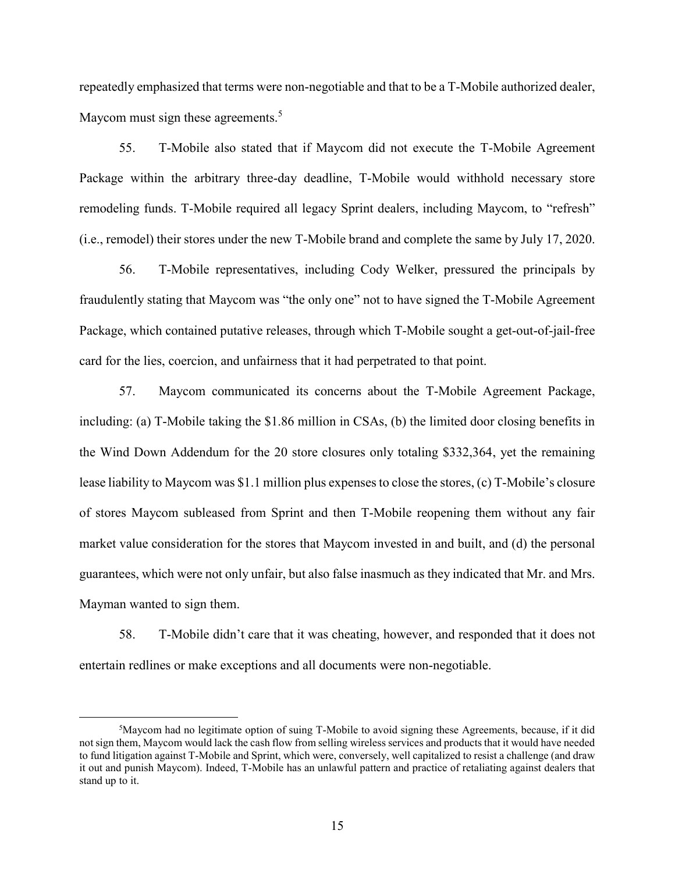repeatedly emphasized that terms were non-negotiable and that to be a T-Mobile authorized dealer, Maycom must sign these agreements.<sup>5</sup>

55. T-Mobile also stated that if Maycom did not execute the T-Mobile Agreement Package within the arbitrary three-day deadline, T-Mobile would withhold necessary store remodeling funds. T-Mobile required all legacy Sprint dealers, including Maycom, to "refresh" (i.e., remodel) their stores under the new T-Mobile brand and complete the same by July 17, 2020.

56. T-Mobile representatives, including Cody Welker, pressured the principals by fraudulently stating that Maycom was "the only one" not to have signed the T-Mobile Agreement Package, which contained putative releases, through which T-Mobile sought a get-out-of-jail-free card for the lies, coercion, and unfairness that it had perpetrated to that point.

57. Maycom communicated its concerns about the T-Mobile Agreement Package, including: (a) T-Mobile taking the \$1.86 million in CSAs, (b) the limited door closing benefits in the Wind Down Addendum for the 20 store closures only totaling \$332,364, yet the remaining lease liability to Maycom was \$1.1 million plus expenses to close the stores, (c) T-Mobile's closure of stores Maycom subleased from Sprint and then T-Mobile reopening them without any fair market value consideration for the stores that Maycom invested in and built, and (d) the personal guarantees, which were not only unfair, but also false inasmuch as they indicated that Mr. and Mrs. Mayman wanted to sign them.

58. T-Mobile didn't care that it was cheating, however, and responded that it does not entertain redlines or make exceptions and all documents were non-negotiable.

 $5$ Maycom had no legitimate option of suing T-Mobile to avoid signing these Agreements, because, if it did not sign them, Maycom would lack the cash flow from selling wireless services and products that it would have needed to fund litigation against T-Mobile and Sprint, which were, conversely, well capitalized to resist a challenge (and draw it out and punish Maycom). Indeed, T-Mobile has an unlawful pattern and practice of retaliating against dealers that stand up to it.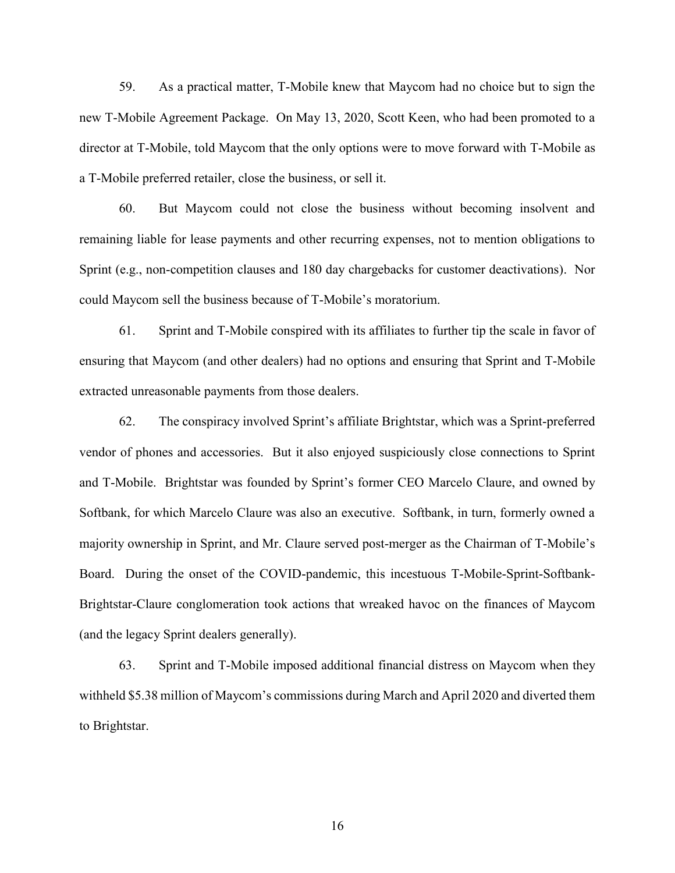59. As a practical matter, T-Mobile knew that Maycom had no choice but to sign the new T-Mobile Agreement Package. On May 13, 2020, Scott Keen, who had been promoted to a director at T-Mobile, told Maycom that the only options were to move forward with T-Mobile as a T-Mobile preferred retailer, close the business, or sell it.

60. But Maycom could not close the business without becoming insolvent and remaining liable for lease payments and other recurring expenses, not to mention obligations to Sprint (e.g., non-competition clauses and 180 day chargebacks for customer deactivations). Nor could Maycom sell the business because of T-Mobile's moratorium.

61. Sprint and T-Mobile conspired with its affiliates to further tip the scale in favor of ensuring that Maycom (and other dealers) had no options and ensuring that Sprint and T-Mobile extracted unreasonable payments from those dealers.

62. The conspiracy involved Sprint's affiliate Brightstar, which was a Sprint-preferred vendor of phones and accessories. But it also enjoyed suspiciously close connections to Sprint and T-Mobile. Brightstar was founded by Sprint's former CEO Marcelo Claure, and owned by Softbank, for which Marcelo Claure was also an executive. Softbank, in turn, formerly owned a majority ownership in Sprint, and Mr. Claure served post-merger as the Chairman of T-Mobile's Board. During the onset of the COVID-pandemic, this incestuous T-Mobile-Sprint-Softbank-Brightstar-Claure conglomeration took actions that wreaked havoc on the finances of Maycom (and the legacy Sprint dealers generally).

63. Sprint and T-Mobile imposed additional financial distress on Maycom when they withheld \$5.38 million of Maycom's commissions during March and April 2020 and diverted them to Brightstar.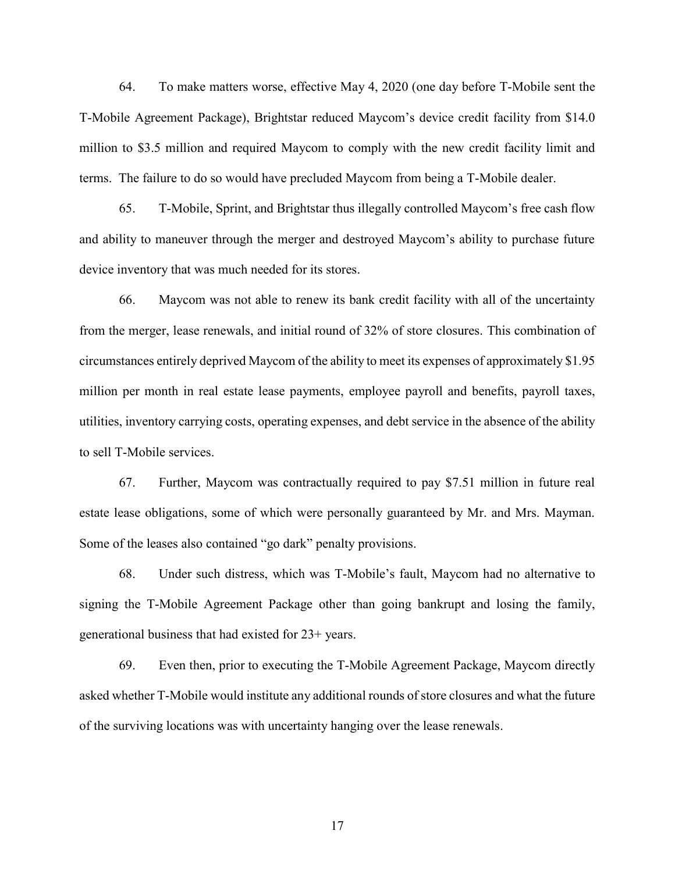64. To make matters worse, effective May 4, 2020 (one day before T-Mobile sent the T-Mobile Agreement Package), Brightstar reduced Maycom's device credit facility from \$14.0 million to \$3.5 million and required Maycom to comply with the new credit facility limit and terms. The failure to do so would have precluded Maycom from being a T-Mobile dealer.

65. T-Mobile, Sprint, and Brightstar thus illegally controlled Maycom's free cash flow and ability to maneuver through the merger and destroyed Maycom's ability to purchase future device inventory that was much needed for its stores.

66. Maycom was not able to renew its bank credit facility with all of the uncertainty from the merger, lease renewals, and initial round of 32% of store closures. This combination of circumstances entirely deprived Maycom of the ability to meet its expenses of approximately \$1.95 million per month in real estate lease payments, employee payroll and benefits, payroll taxes, utilities, inventory carrying costs, operating expenses, and debt service in the absence of the ability to sell T-Mobile services.

67. Further, Maycom was contractually required to pay \$7.51 million in future real estate lease obligations, some of which were personally guaranteed by Mr. and Mrs. Mayman. Some of the leases also contained "go dark" penalty provisions.

68. Under such distress, which was T-Mobile's fault, Maycom had no alternative to signing the T-Mobile Agreement Package other than going bankrupt and losing the family, generational business that had existed for 23+ years.

69. Even then, prior to executing the T-Mobile Agreement Package, Maycom directly asked whether T-Mobile would institute any additional rounds of store closures and what the future of the surviving locations was with uncertainty hanging over the lease renewals.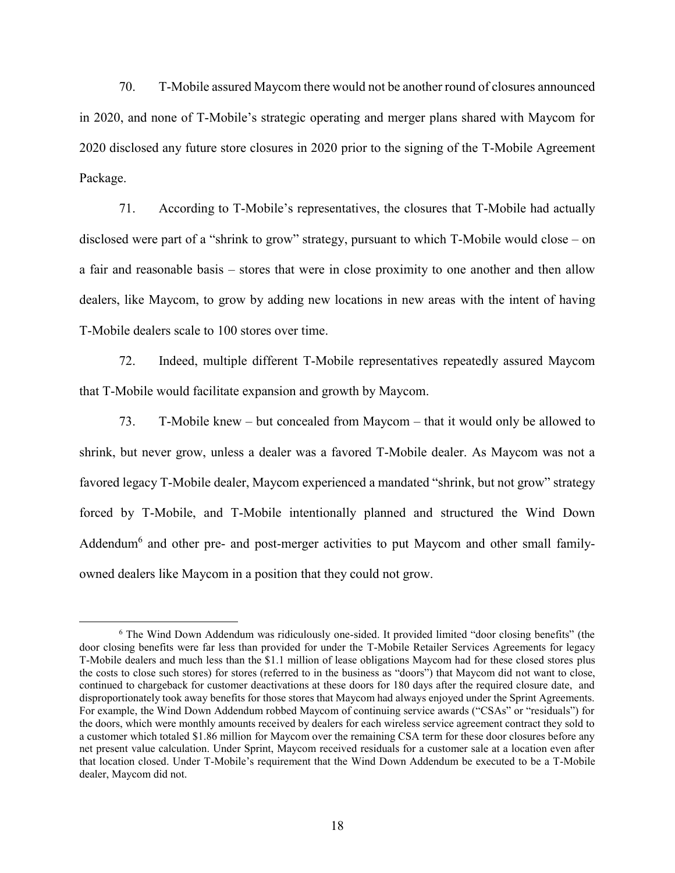70. T-Mobile assured Maycom there would not be another round of closures announced in 2020, and none of T-Mobile's strategic operating and merger plans shared with Maycom for 2020 disclosed any future store closures in 2020 prior to the signing of the T-Mobile Agreement Package.

71. According to T-Mobile's representatives, the closures that T-Mobile had actually disclosed were part of a "shrink to grow" strategy, pursuant to which T-Mobile would close – on a fair and reasonable basis – stores that were in close proximity to one another and then allow dealers, like Maycom, to grow by adding new locations in new areas with the intent of having T-Mobile dealers scale to 100 stores over time.

72. Indeed, multiple different T-Mobile representatives repeatedly assured Maycom that T-Mobile would facilitate expansion and growth by Maycom.

73. T-Mobile knew – but concealed from Maycom – that it would only be allowed to shrink, but never grow, unless a dealer was a favored T-Mobile dealer. As Maycom was not a favored legacy T-Mobile dealer, Maycom experienced a mandated "shrink, but not grow" strategy forced by T-Mobile, and T-Mobile intentionally planned and structured the Wind Down Addendum<sup>6</sup> and other pre- and post-merger activities to put Maycom and other small familyowned dealers like Maycom in a position that they could not grow.

<sup>6</sup> The Wind Down Addendum was ridiculously one-sided. It provided limited "door closing benefits" (the door closing benefits were far less than provided for under the T-Mobile Retailer Services Agreements for legacy T-Mobile dealers and much less than the \$1.1 million of lease obligations Maycom had for these closed stores plus the costs to close such stores) for stores (referred to in the business as "doors") that Maycom did not want to close, continued to chargeback for customer deactivations at these doors for 180 days after the required closure date, and disproportionately took away benefits for those stores that Maycom had always enjoyed under the Sprint Agreements. For example, the Wind Down Addendum robbed Maycom of continuing service awards ("CSAs" or "residuals") for the doors, which were monthly amounts received by dealers for each wireless service agreement contract they sold to a customer which totaled \$1.86 million for Maycom over the remaining CSA term for these door closures before any net present value calculation. Under Sprint, Maycom received residuals for a customer sale at a location even after that location closed. Under T-Mobile's requirement that the Wind Down Addendum be executed to be a T-Mobile dealer, Maycom did not.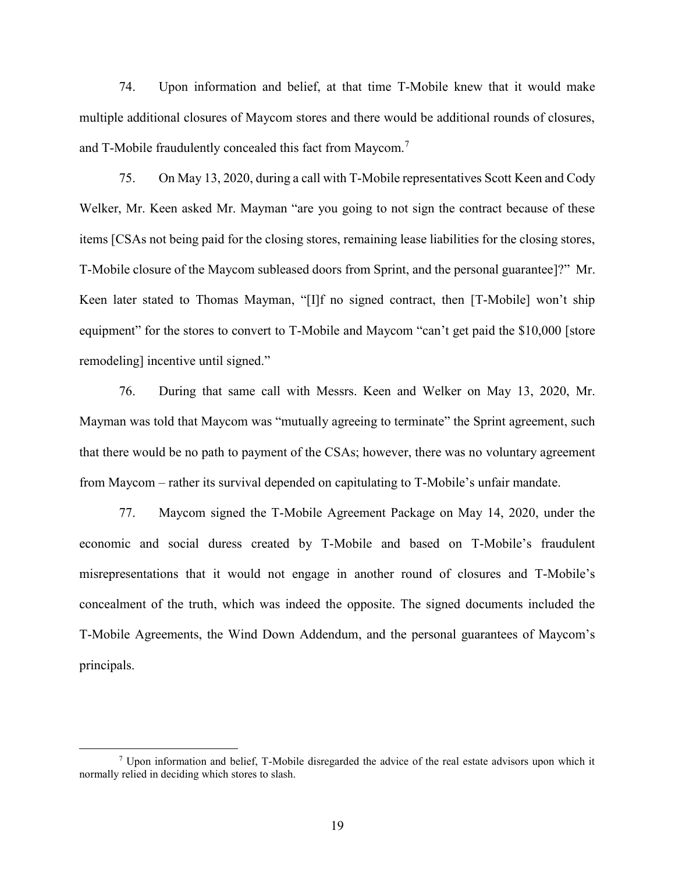74. Upon information and belief, at that time T-Mobile knew that it would make multiple additional closures of Maycom stores and there would be additional rounds of closures, and T-Mobile fraudulently concealed this fact from Maycom.<sup>7</sup>

75. On May 13, 2020, during a call with T-Mobile representatives Scott Keen and Cody Welker, Mr. Keen asked Mr. Mayman "are you going to not sign the contract because of these items [CSAs not being paid for the closing stores, remaining lease liabilities for the closing stores, T-Mobile closure of the Maycom subleased doors from Sprint, and the personal guarantee]?" Mr. Keen later stated to Thomas Mayman, "[I]f no signed contract, then [T-Mobile] won't ship equipment" for the stores to convert to T-Mobile and Maycom "can't get paid the \$10,000 [store remodeling] incentive until signed."

76. During that same call with Messrs. Keen and Welker on May 13, 2020, Mr. Mayman was told that Maycom was "mutually agreeing to terminate" the Sprint agreement, such that there would be no path to payment of the CSAs; however, there was no voluntary agreement from Maycom – rather its survival depended on capitulating to T-Mobile's unfair mandate.

77. Maycom signed the T-Mobile Agreement Package on May 14, 2020, under the economic and social duress created by T-Mobile and based on T-Mobile's fraudulent misrepresentations that it would not engage in another round of closures and T-Mobile's concealment of the truth, which was indeed the opposite. The signed documents included the T-Mobile Agreements, the Wind Down Addendum, and the personal guarantees of Maycom's principals.

<sup>7</sup> Upon information and belief, T-Mobile disregarded the advice of the real estate advisors upon which it normally relied in deciding which stores to slash.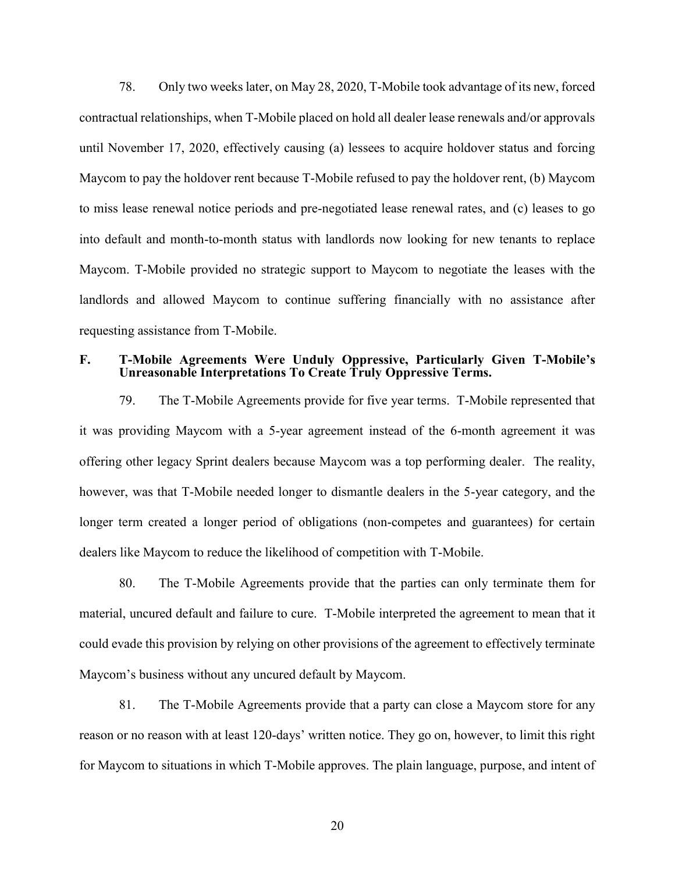78. Only two weeks later, on May 28, 2020, T-Mobile took advantage of its new, forced contractual relationships, when T-Mobile placed on hold all dealer lease renewals and/or approvals until November 17, 2020, effectively causing (a) lessees to acquire holdover status and forcing Maycom to pay the holdover rent because T-Mobile refused to pay the holdover rent, (b) Maycom to miss lease renewal notice periods and pre-negotiated lease renewal rates, and (c) leases to go into default and month-to-month status with landlords now looking for new tenants to replace Maycom. T-Mobile provided no strategic support to Maycom to negotiate the leases with the landlords and allowed Maycom to continue suffering financially with no assistance after requesting assistance from T-Mobile.

### **F. T-Mobile Agreements Were Unduly Oppressive, Particularly Given T-Mobile's Unreasonable Interpretations To Create Truly Oppressive Terms.**

79. The T-Mobile Agreements provide for five year terms. T-Mobile represented that it was providing Maycom with a 5-year agreement instead of the 6-month agreement it was offering other legacy Sprint dealers because Maycom was a top performing dealer. The reality, however, was that T-Mobile needed longer to dismantle dealers in the 5-year category, and the longer term created a longer period of obligations (non-competes and guarantees) for certain dealers like Maycom to reduce the likelihood of competition with T-Mobile.

80. The T-Mobile Agreements provide that the parties can only terminate them for material, uncured default and failure to cure. T-Mobile interpreted the agreement to mean that it could evade this provision by relying on other provisions of the agreement to effectively terminate Maycom's business without any uncured default by Maycom.

81. The T-Mobile Agreements provide that a party can close a Maycom store for any reason or no reason with at least 120-days' written notice. They go on, however, to limit this right for Maycom to situations in which T-Mobile approves. The plain language, purpose, and intent of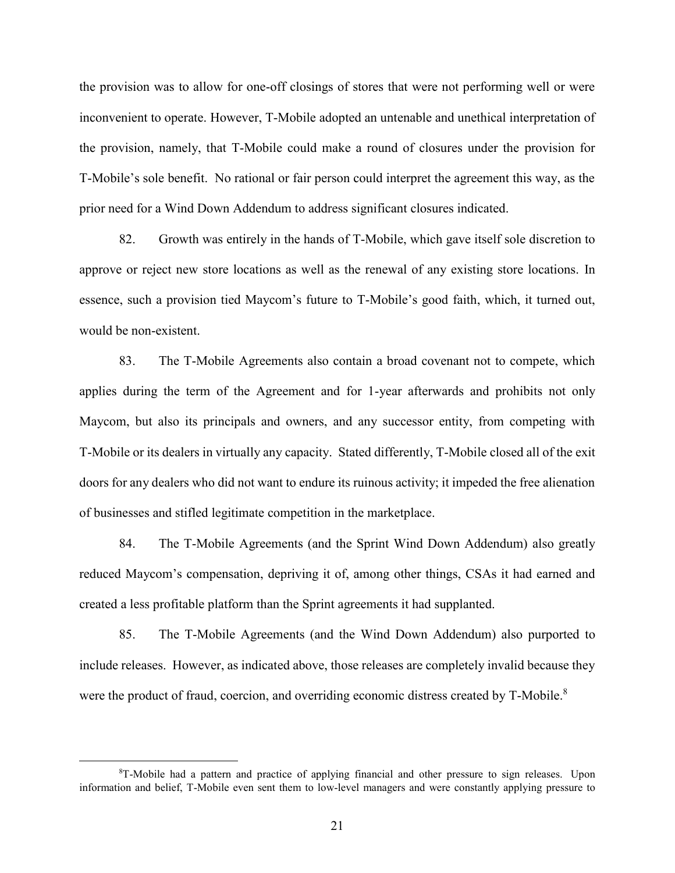the provision was to allow for one-off closings of stores that were not performing well or were inconvenient to operate. However, T-Mobile adopted an untenable and unethical interpretation of the provision, namely, that T-Mobile could make a round of closures under the provision for T-Mobile's sole benefit. No rational or fair person could interpret the agreement this way, as the prior need for a Wind Down Addendum to address significant closures indicated.

82. Growth was entirely in the hands of T-Mobile, which gave itself sole discretion to approve or reject new store locations as well as the renewal of any existing store locations. In essence, such a provision tied Maycom's future to T-Mobile's good faith, which, it turned out, would be non-existent.

83. The T-Mobile Agreements also contain a broad covenant not to compete, which applies during the term of the Agreement and for 1-year afterwards and prohibits not only Maycom, but also its principals and owners, and any successor entity, from competing with T-Mobile or its dealers in virtually any capacity. Stated differently, T-Mobile closed all of the exit doors for any dealers who did not want to endure its ruinous activity; it impeded the free alienation of businesses and stifled legitimate competition in the marketplace.

84. The T-Mobile Agreements (and the Sprint Wind Down Addendum) also greatly reduced Maycom's compensation, depriving it of, among other things, CSAs it had earned and created a less profitable platform than the Sprint agreements it had supplanted.

85. The T-Mobile Agreements (and the Wind Down Addendum) also purported to include releases. However, as indicated above, those releases are completely invalid because they were the product of fraud, coercion, and overriding economic distress created by T-Mobile.<sup>8</sup>

<sup>8</sup>T-Mobile had a pattern and practice of applying financial and other pressure to sign releases. Upon information and belief, T-Mobile even sent them to low-level managers and were constantly applying pressure to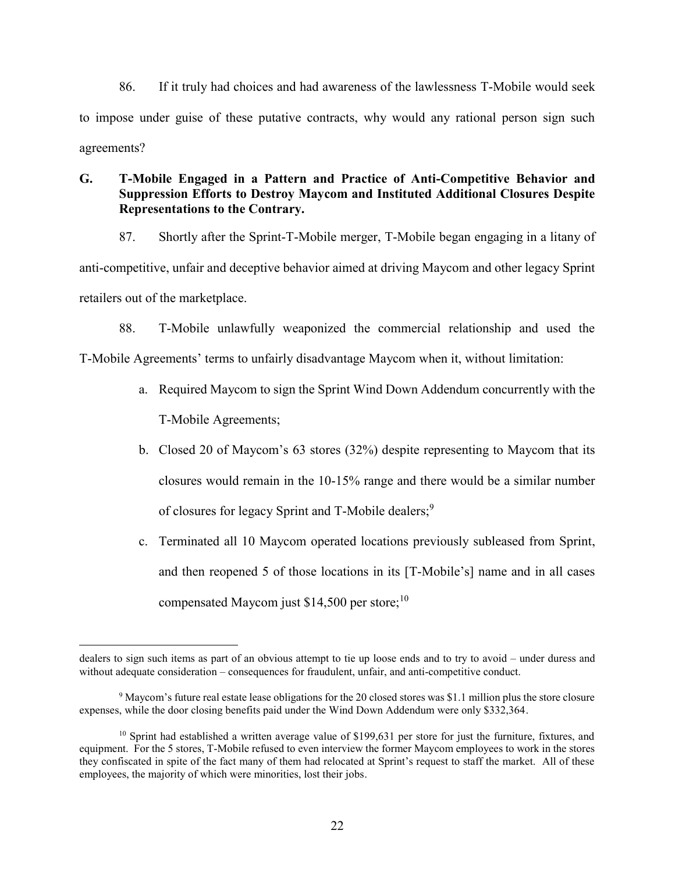86. If it truly had choices and had awareness of the lawlessness T-Mobile would seek to impose under guise of these putative contracts, why would any rational person sign such agreements?

# **G. T-Mobile Engaged in a Pattern and Practice of Anti-Competitive Behavior and Suppression Efforts to Destroy Maycom and Instituted Additional Closures Despite Representations to the Contrary.**

87. Shortly after the Sprint-T-Mobile merger, T-Mobile began engaging in a litany of anti-competitive, unfair and deceptive behavior aimed at driving Maycom and other legacy Sprint retailers out of the marketplace.

88. T-Mobile unlawfully weaponized the commercial relationship and used the T-Mobile Agreements' terms to unfairly disadvantage Maycom when it, without limitation:

- a. Required Maycom to sign the Sprint Wind Down Addendum concurrently with the T-Mobile Agreements;
- b. Closed 20 of Maycom's 63 stores (32%) despite representing to Maycom that its closures would remain in the 10-15% range and there would be a similar number of closures for legacy Sprint and T-Mobile dealers;<sup>9</sup>
- c. Terminated all 10 Maycom operated locations previously subleased from Sprint, and then reopened 5 of those locations in its [T-Mobile's] name and in all cases compensated Maycom just \$14,500 per store; $^{10}$

dealers to sign such items as part of an obvious attempt to tie up loose ends and to try to avoid – under duress and without adequate consideration – consequences for fraudulent, unfair, and anti-competitive conduct.

<sup>9</sup> Maycom's future real estate lease obligations for the 20 closed stores was \$1.1 million plus the store closure expenses, while the door closing benefits paid under the Wind Down Addendum were only \$332,364.

<sup>&</sup>lt;sup>10</sup> Sprint had established a written average value of \$199,631 per store for just the furniture, fixtures, and equipment. For the 5 stores, T-Mobile refused to even interview the former Maycom employees to work in the stores they confiscated in spite of the fact many of them had relocated at Sprint's request to staff the market. All of these employees, the majority of which were minorities, lost their jobs.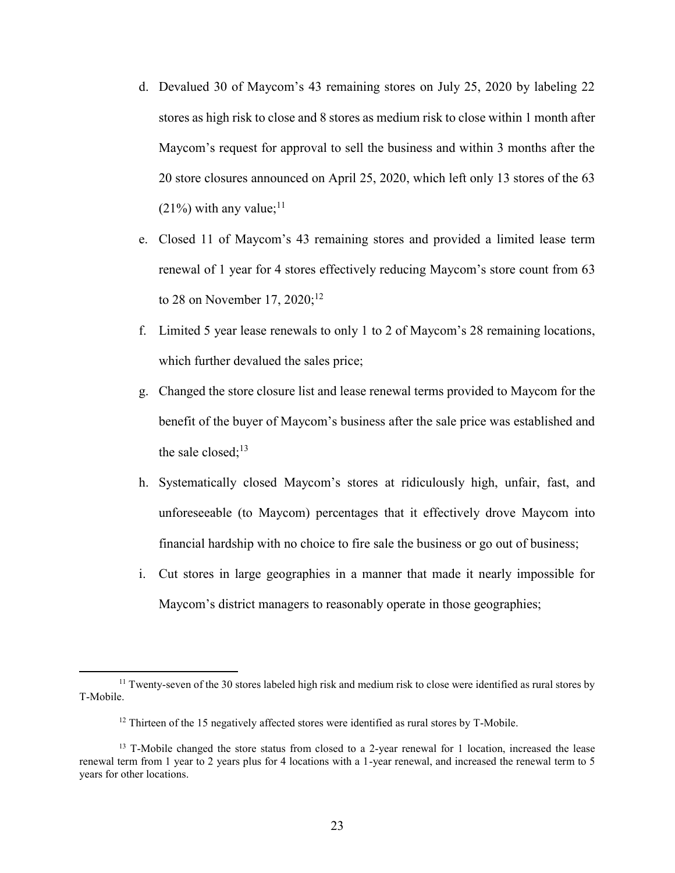- d. Devalued 30 of Maycom's 43 remaining stores on July 25, 2020 by labeling 22 stores as high risk to close and 8 stores as medium risk to close within 1 month after Maycom's request for approval to sell the business and within 3 months after the 20 store closures announced on April 25, 2020, which left only 13 stores of the 63  $(21\%)$  with any value;<sup>11</sup>
- e. Closed 11 of Maycom's 43 remaining stores and provided a limited lease term renewal of 1 year for 4 stores effectively reducing Maycom's store count from 63 to 28 on November 17, 2020;<sup>12</sup>
- f. Limited 5 year lease renewals to only 1 to 2 of Maycom's 28 remaining locations, which further devalued the sales price;
- g. Changed the store closure list and lease renewal terms provided to Maycom for the benefit of the buyer of Maycom's business after the sale price was established and the sale closed; $^{13}$
- h. Systematically closed Maycom's stores at ridiculously high, unfair, fast, and unforeseeable (to Maycom) percentages that it effectively drove Maycom into financial hardship with no choice to fire sale the business or go out of business;
- i. Cut stores in large geographies in a manner that made it nearly impossible for Maycom's district managers to reasonably operate in those geographies;

<sup>&</sup>lt;sup>11</sup> Twenty-seven of the 30 stores labeled high risk and medium risk to close were identified as rural stores by T-Mobile.

 $12$  Thirteen of the 15 negatively affected stores were identified as rural stores by T-Mobile.

<sup>&</sup>lt;sup>13</sup> T-Mobile changed the store status from closed to a 2-year renewal for 1 location, increased the lease renewal term from 1 year to 2 years plus for 4 locations with a 1-year renewal, and increased the renewal term to 5 years for other locations.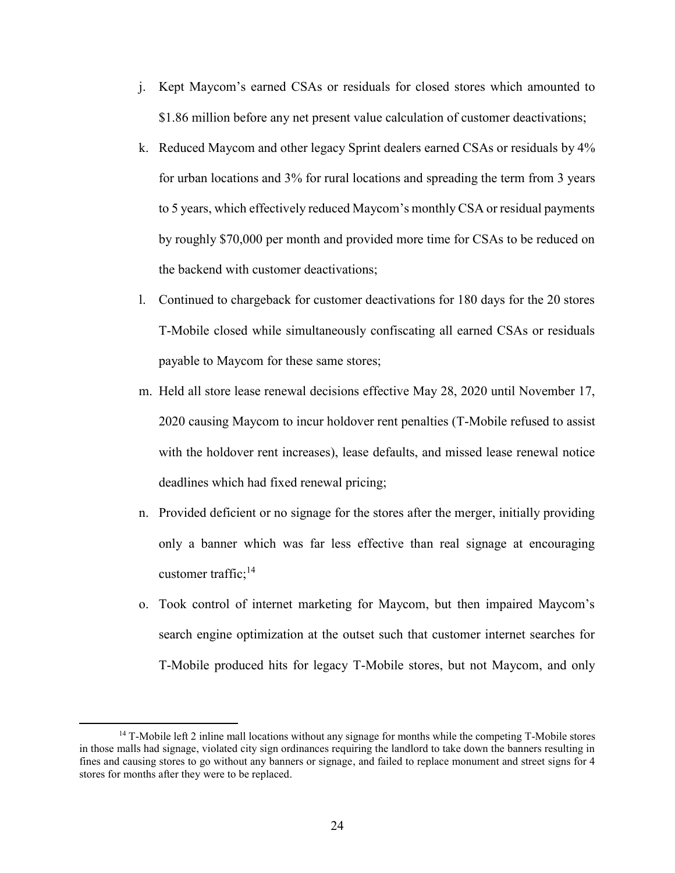- j. Kept Maycom's earned CSAs or residuals for closed stores which amounted to \$1.86 million before any net present value calculation of customer deactivations;
- k. Reduced Maycom and other legacy Sprint dealers earned CSAs or residuals by 4% for urban locations and 3% for rural locations and spreading the term from 3 years to 5 years, which effectively reduced Maycom's monthly CSA or residual payments by roughly \$70,000 per month and provided more time for CSAs to be reduced on the backend with customer deactivations;
- l. Continued to chargeback for customer deactivations for 180 days for the 20 stores T-Mobile closed while simultaneously confiscating all earned CSAs or residuals payable to Maycom for these same stores;
- m. Held all store lease renewal decisions effective May 28, 2020 until November 17, 2020 causing Maycom to incur holdover rent penalties (T-Mobile refused to assist with the holdover rent increases), lease defaults, and missed lease renewal notice deadlines which had fixed renewal pricing;
- n. Provided deficient or no signage for the stores after the merger, initially providing only a banner which was far less effective than real signage at encouraging customer traffic; $^{14}$
- o. Took control of internet marketing for Maycom, but then impaired Maycom's search engine optimization at the outset such that customer internet searches for T-Mobile produced hits for legacy T-Mobile stores, but not Maycom, and only

<sup>&</sup>lt;sup>14</sup> T-Mobile left 2 inline mall locations without any signage for months while the competing T-Mobile stores in those malls had signage, violated city sign ordinances requiring the landlord to take down the banners resulting in fines and causing stores to go without any banners or signage, and failed to replace monument and street signs for 4 stores for months after they were to be replaced.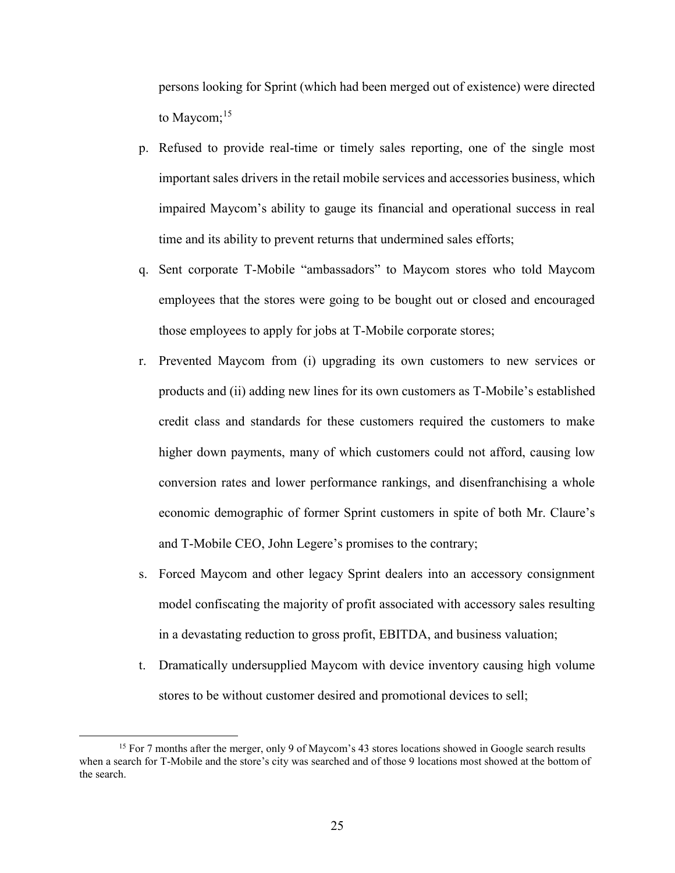persons looking for Sprint (which had been merged out of existence) were directed to Maycom; $15$ 

- p. Refused to provide real-time or timely sales reporting, one of the single most important sales drivers in the retail mobile services and accessories business, which impaired Maycom's ability to gauge its financial and operational success in real time and its ability to prevent returns that undermined sales efforts;
- q. Sent corporate T-Mobile "ambassadors" to Maycom stores who told Maycom employees that the stores were going to be bought out or closed and encouraged those employees to apply for jobs at T-Mobile corporate stores;
- r. Prevented Maycom from (i) upgrading its own customers to new services or products and (ii) adding new lines for its own customers as T-Mobile's established credit class and standards for these customers required the customers to make higher down payments, many of which customers could not afford, causing low conversion rates and lower performance rankings, and disenfranchising a whole economic demographic of former Sprint customers in spite of both Mr. Claure's and T-Mobile CEO, John Legere's promises to the contrary;
- s. Forced Maycom and other legacy Sprint dealers into an accessory consignment model confiscating the majority of profit associated with accessory sales resulting in a devastating reduction to gross profit, EBITDA, and business valuation;
- t. Dramatically undersupplied Maycom with device inventory causing high volume stores to be without customer desired and promotional devices to sell;

<sup>&</sup>lt;sup>15</sup> For 7 months after the merger, only 9 of Maycom's 43 stores locations showed in Google search results when a search for T-Mobile and the store's city was searched and of those 9 locations most showed at the bottom of the search.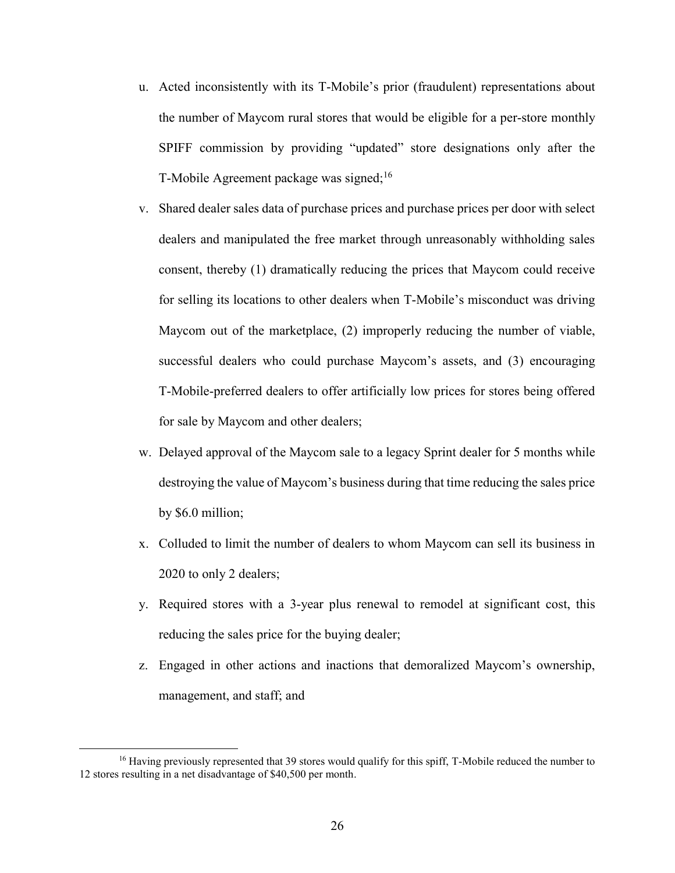- u. Acted inconsistently with its T-Mobile's prior (fraudulent) representations about the number of Maycom rural stores that would be eligible for a per-store monthly SPIFF commission by providing "updated" store designations only after the T-Mobile Agreement package was signed;<sup>16</sup>
- v. Shared dealer sales data of purchase prices and purchase prices per door with select dealers and manipulated the free market through unreasonably withholding sales consent, thereby (1) dramatically reducing the prices that Maycom could receive for selling its locations to other dealers when T-Mobile's misconduct was driving Maycom out of the marketplace, (2) improperly reducing the number of viable, successful dealers who could purchase Maycom's assets, and (3) encouraging T-Mobile-preferred dealers to offer artificially low prices for stores being offered for sale by Maycom and other dealers;
- w. Delayed approval of the Maycom sale to a legacy Sprint dealer for 5 months while destroying the value of Maycom's business during that time reducing the sales price by \$6.0 million;
- x. Colluded to limit the number of dealers to whom Maycom can sell its business in 2020 to only 2 dealers;
- y. Required stores with a 3-year plus renewal to remodel at significant cost, this reducing the sales price for the buying dealer;
- z. Engaged in other actions and inactions that demoralized Maycom's ownership, management, and staff; and

<sup>&</sup>lt;sup>16</sup> Having previously represented that 39 stores would qualify for this spiff, T-Mobile reduced the number to 12 stores resulting in a net disadvantage of \$40,500 per month.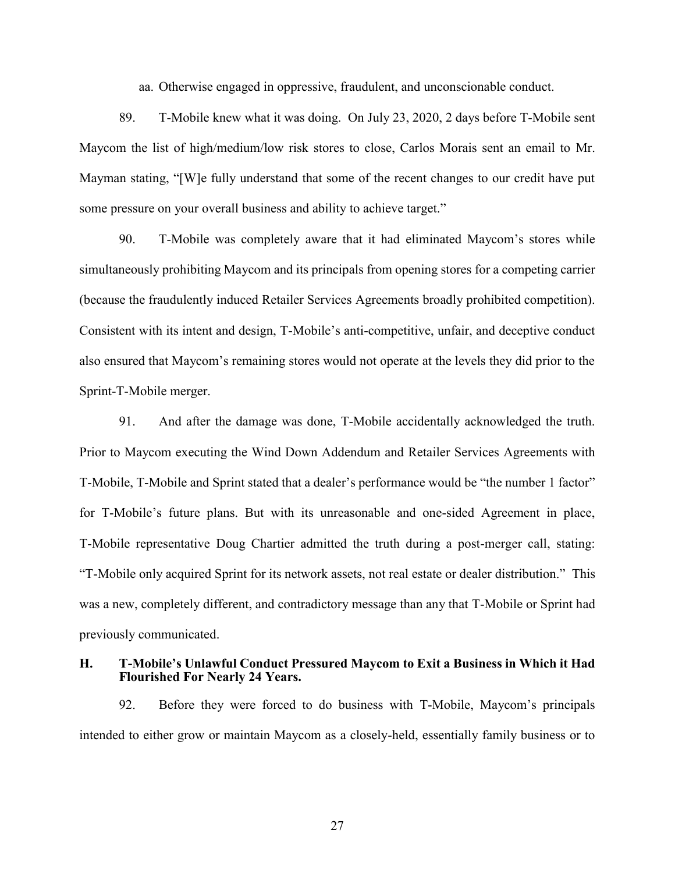aa. Otherwise engaged in oppressive, fraudulent, and unconscionable conduct.

89. T-Mobile knew what it was doing. On July 23, 2020, 2 days before T-Mobile sent Maycom the list of high/medium/low risk stores to close, Carlos Morais sent an email to Mr. Mayman stating, "[W]e fully understand that some of the recent changes to our credit have put some pressure on your overall business and ability to achieve target."

90. T-Mobile was completely aware that it had eliminated Maycom's stores while simultaneously prohibiting Maycom and its principals from opening stores for a competing carrier (because the fraudulently induced Retailer Services Agreements broadly prohibited competition). Consistent with its intent and design, T-Mobile's anti-competitive, unfair, and deceptive conduct also ensured that Maycom's remaining stores would not operate at the levels they did prior to the Sprint-T-Mobile merger.

91. And after the damage was done, T-Mobile accidentally acknowledged the truth. Prior to Maycom executing the Wind Down Addendum and Retailer Services Agreements with T-Mobile, T-Mobile and Sprint stated that a dealer's performance would be "the number 1 factor" for T-Mobile's future plans. But with its unreasonable and one-sided Agreement in place, T-Mobile representative Doug Chartier admitted the truth during a post-merger call, stating: "T-Mobile only acquired Sprint for its network assets, not real estate or dealer distribution." This was a new, completely different, and contradictory message than any that T-Mobile or Sprint had previously communicated.

### **H. T-Mobile's Unlawful Conduct Pressured Maycom to Exit a Business in Which it Had Flourished For Nearly 24 Years.**

92. Before they were forced to do business with T-Mobile, Maycom's principals intended to either grow or maintain Maycom as a closely-held, essentially family business or to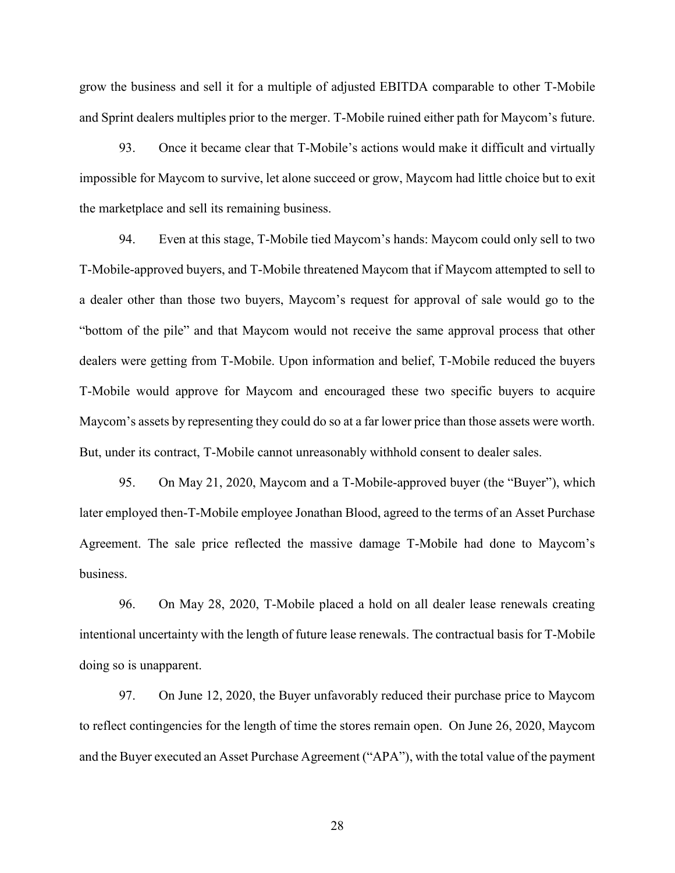grow the business and sell it for a multiple of adjusted EBITDA comparable to other T-Mobile and Sprint dealers multiples prior to the merger. T-Mobile ruined either path for Maycom's future.

93. Once it became clear that T-Mobile's actions would make it difficult and virtually impossible for Maycom to survive, let alone succeed or grow, Maycom had little choice but to exit the marketplace and sell its remaining business.

94. Even at this stage, T-Mobile tied Maycom's hands: Maycom could only sell to two T-Mobile-approved buyers, and T-Mobile threatened Maycom that if Maycom attempted to sell to a dealer other than those two buyers, Maycom's request for approval of sale would go to the "bottom of the pile" and that Maycom would not receive the same approval process that other dealers were getting from T-Mobile. Upon information and belief, T-Mobile reduced the buyers T-Mobile would approve for Maycom and encouraged these two specific buyers to acquire Maycom's assets by representing they could do so at a far lower price than those assets were worth. But, under its contract, T-Mobile cannot unreasonably withhold consent to dealer sales.

95. On May 21, 2020, Maycom and a T-Mobile-approved buyer (the "Buyer"), which later employed then-T-Mobile employee Jonathan Blood, agreed to the terms of an Asset Purchase Agreement. The sale price reflected the massive damage T-Mobile had done to Maycom's business.

96. On May 28, 2020, T-Mobile placed a hold on all dealer lease renewals creating intentional uncertainty with the length of future lease renewals. The contractual basis for T-Mobile doing so is unapparent.

97. On June 12, 2020, the Buyer unfavorably reduced their purchase price to Maycom to reflect contingencies for the length of time the stores remain open. On June 26, 2020, Maycom and the Buyer executed an Asset Purchase Agreement ("APA"), with the total value of the payment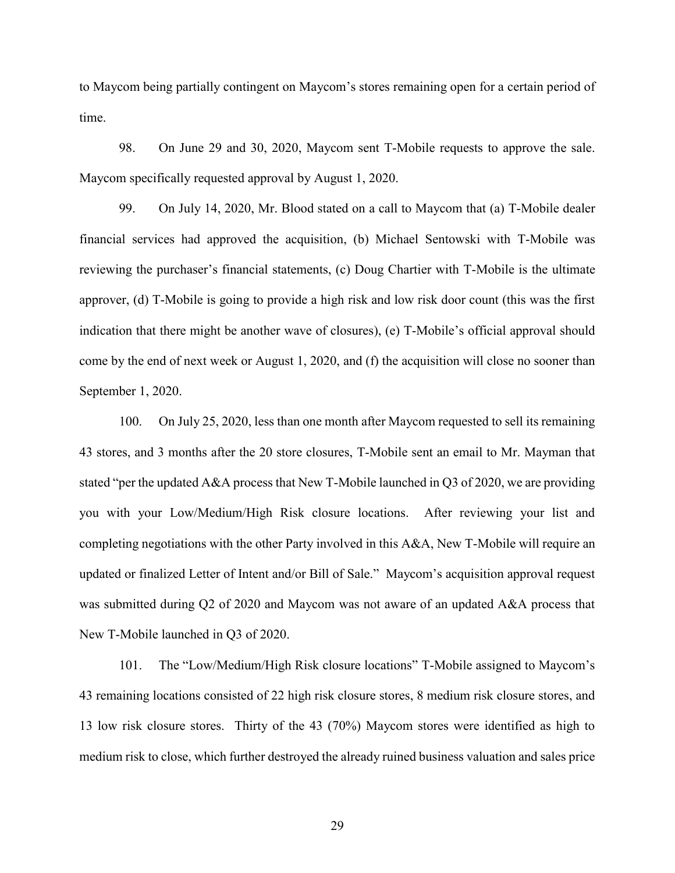to Maycom being partially contingent on Maycom's stores remaining open for a certain period of time.

98. On June 29 and 30, 2020, Maycom sent T-Mobile requests to approve the sale. Maycom specifically requested approval by August 1, 2020.

99. On July 14, 2020, Mr. Blood stated on a call to Maycom that (a) T-Mobile dealer financial services had approved the acquisition, (b) Michael Sentowski with T-Mobile was reviewing the purchaser's financial statements, (c) Doug Chartier with T-Mobile is the ultimate approver, (d) T-Mobile is going to provide a high risk and low risk door count (this was the first indication that there might be another wave of closures), (e) T-Mobile's official approval should come by the end of next week or August 1, 2020, and (f) the acquisition will close no sooner than September 1, 2020.

100. On July 25, 2020, less than one month after Maycom requested to sell its remaining 43 stores, and 3 months after the 20 store closures, T-Mobile sent an email to Mr. Mayman that stated "per the updated A&A process that New T-Mobile launched in Q3 of 2020, we are providing you with your Low/Medium/High Risk closure locations. After reviewing your list and completing negotiations with the other Party involved in this A&A, New T-Mobile will require an updated or finalized Letter of Intent and/or Bill of Sale." Maycom's acquisition approval request was submitted during Q2 of 2020 and Maycom was not aware of an updated A&A process that New T-Mobile launched in Q3 of 2020.

101. The "Low/Medium/High Risk closure locations" T-Mobile assigned to Maycom's 43 remaining locations consisted of 22 high risk closure stores, 8 medium risk closure stores, and 13 low risk closure stores. Thirty of the 43 (70%) Maycom stores were identified as high to medium risk to close, which further destroyed the already ruined business valuation and sales price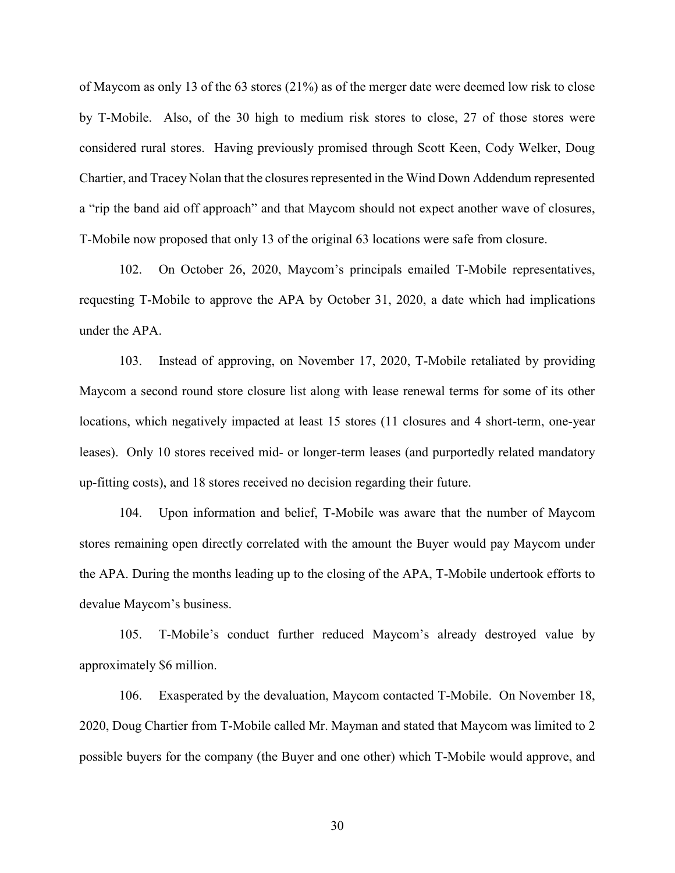of Maycom as only 13 of the 63 stores (21%) as of the merger date were deemed low risk to close by T-Mobile. Also, of the 30 high to medium risk stores to close, 27 of those stores were considered rural stores. Having previously promised through Scott Keen, Cody Welker, Doug Chartier, and Tracey Nolan that the closures represented in the Wind Down Addendum represented a "rip the band aid off approach" and that Maycom should not expect another wave of closures, T-Mobile now proposed that only 13 of the original 63 locations were safe from closure.

102. On October 26, 2020, Maycom's principals emailed T-Mobile representatives, requesting T-Mobile to approve the APA by October 31, 2020, a date which had implications under the APA.

103. Instead of approving, on November 17, 2020, T-Mobile retaliated by providing Maycom a second round store closure list along with lease renewal terms for some of its other locations, which negatively impacted at least 15 stores (11 closures and 4 short-term, one-year leases). Only 10 stores received mid- or longer-term leases (and purportedly related mandatory up-fitting costs), and 18 stores received no decision regarding their future.

104. Upon information and belief, T-Mobile was aware that the number of Maycom stores remaining open directly correlated with the amount the Buyer would pay Maycom under the APA. During the months leading up to the closing of the APA, T-Mobile undertook efforts to devalue Maycom's business.

105. T-Mobile's conduct further reduced Maycom's already destroyed value by approximately \$6 million.

106. Exasperated by the devaluation, Maycom contacted T-Mobile. On November 18, 2020, Doug Chartier from T-Mobile called Mr. Mayman and stated that Maycom was limited to 2 possible buyers for the company (the Buyer and one other) which T-Mobile would approve, and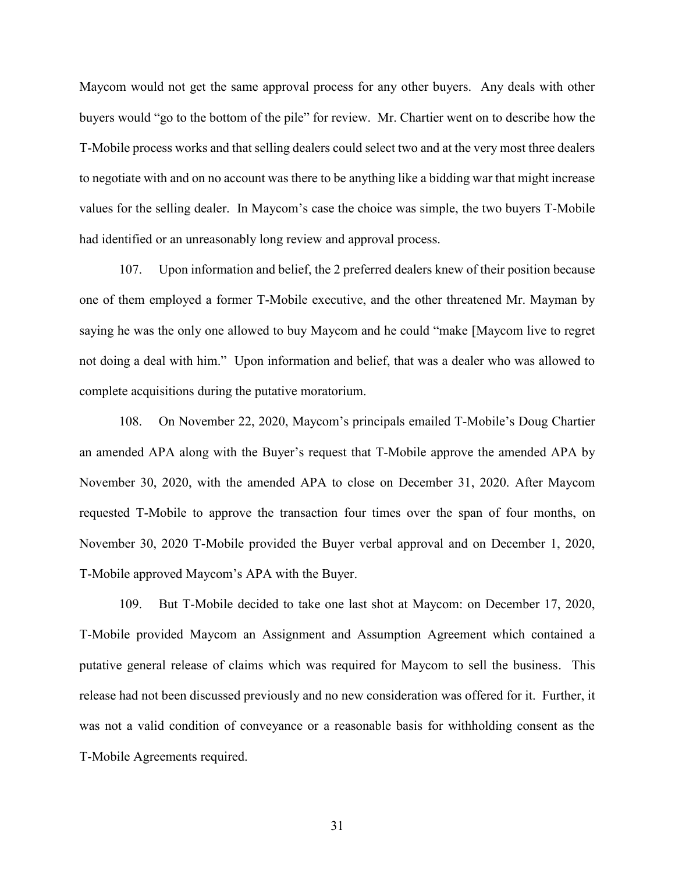Maycom would not get the same approval process for any other buyers. Any deals with other buyers would "go to the bottom of the pile" for review. Mr. Chartier went on to describe how the T-Mobile process works and that selling dealers could select two and at the very most three dealers to negotiate with and on no account was there to be anything like a bidding war that might increase values for the selling dealer. In Maycom's case the choice was simple, the two buyers T-Mobile had identified or an unreasonably long review and approval process.

107. Upon information and belief, the 2 preferred dealers knew of their position because one of them employed a former T-Mobile executive, and the other threatened Mr. Mayman by saying he was the only one allowed to buy Maycom and he could "make [Maycom live to regret not doing a deal with him." Upon information and belief, that was a dealer who was allowed to complete acquisitions during the putative moratorium.

108. On November 22, 2020, Maycom's principals emailed T-Mobile's Doug Chartier an amended APA along with the Buyer's request that T-Mobile approve the amended APA by November 30, 2020, with the amended APA to close on December 31, 2020. After Maycom requested T-Mobile to approve the transaction four times over the span of four months, on November 30, 2020 T-Mobile provided the Buyer verbal approval and on December 1, 2020, T-Mobile approved Maycom's APA with the Buyer.

109. But T-Mobile decided to take one last shot at Maycom: on December 17, 2020, T-Mobile provided Maycom an Assignment and Assumption Agreement which contained a putative general release of claims which was required for Maycom to sell the business. This release had not been discussed previously and no new consideration was offered for it. Further, it was not a valid condition of conveyance or a reasonable basis for withholding consent as the T-Mobile Agreements required.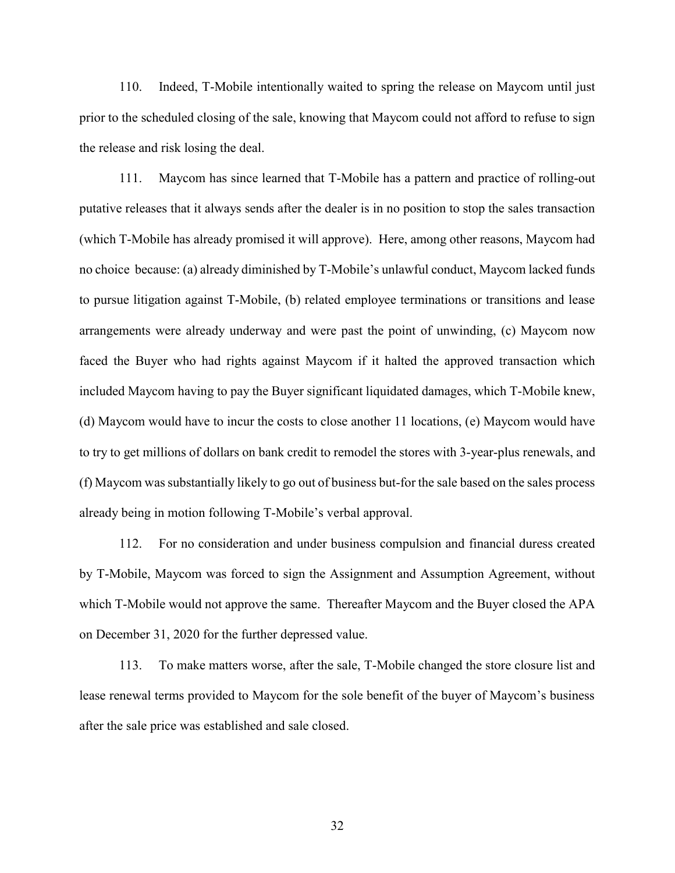110. Indeed, T-Mobile intentionally waited to spring the release on Maycom until just prior to the scheduled closing of the sale, knowing that Maycom could not afford to refuse to sign the release and risk losing the deal.

111. Maycom has since learned that T-Mobile has a pattern and practice of rolling-out putative releases that it always sends after the dealer is in no position to stop the sales transaction (which T-Mobile has already promised it will approve). Here, among other reasons, Maycom had no choice because: (a) already diminished by T-Mobile's unlawful conduct, Maycom lacked funds to pursue litigation against T-Mobile, (b) related employee terminations or transitions and lease arrangements were already underway and were past the point of unwinding, (c) Maycom now faced the Buyer who had rights against Maycom if it halted the approved transaction which included Maycom having to pay the Buyer significant liquidated damages, which T-Mobile knew, (d) Maycom would have to incur the costs to close another 11 locations, (e) Maycom would have to try to get millions of dollars on bank credit to remodel the stores with 3-year-plus renewals, and (f) Maycom was substantially likely to go out of business but-for the sale based on the sales process already being in motion following T-Mobile's verbal approval.

112. For no consideration and under business compulsion and financial duress created by T-Mobile, Maycom was forced to sign the Assignment and Assumption Agreement, without which T-Mobile would not approve the same. Thereafter Maycom and the Buyer closed the APA on December 31, 2020 for the further depressed value.

113. To make matters worse, after the sale, T-Mobile changed the store closure list and lease renewal terms provided to Maycom for the sole benefit of the buyer of Maycom's business after the sale price was established and sale closed.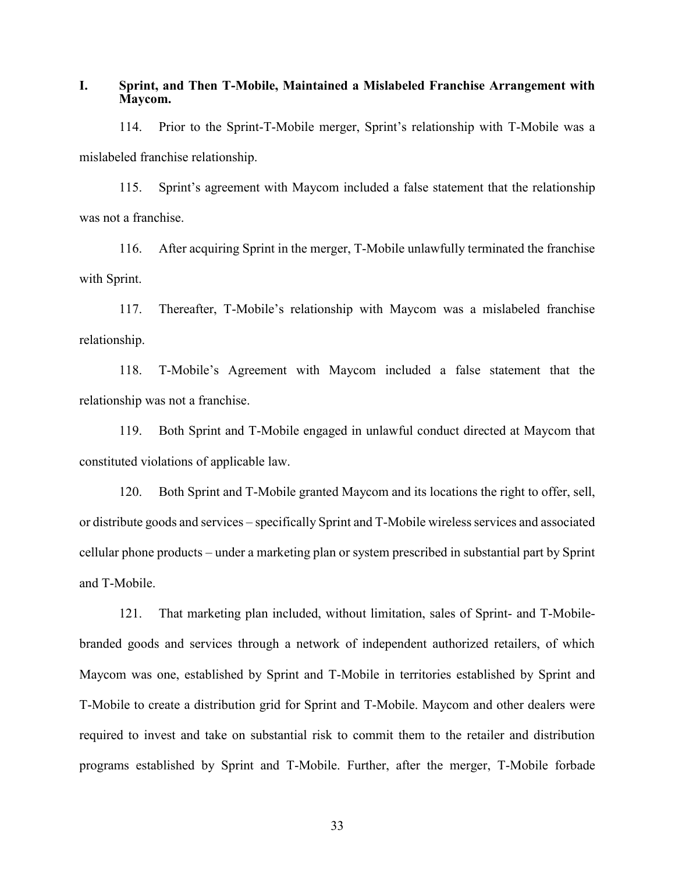**I. Sprint, and Then T-Mobile, Maintained a Mislabeled Franchise Arrangement with Maycom.**

114. Prior to the Sprint-T-Mobile merger, Sprint's relationship with T-Mobile was a mislabeled franchise relationship.

115. Sprint's agreement with Maycom included a false statement that the relationship was not a franchise.

116. After acquiring Sprint in the merger, T-Mobile unlawfully terminated the franchise with Sprint.

117. Thereafter, T-Mobile's relationship with Maycom was a mislabeled franchise relationship.

118. T-Mobile's Agreement with Maycom included a false statement that the relationship was not a franchise.

119. Both Sprint and T-Mobile engaged in unlawful conduct directed at Maycom that constituted violations of applicable law.

120. Both Sprint and T-Mobile granted Maycom and its locations the right to offer, sell, or distribute goods and services – specifically Sprint and T-Mobile wireless services and associated cellular phone products – under a marketing plan or system prescribed in substantial part by Sprint and T-Mobile.

121. That marketing plan included, without limitation, sales of Sprint- and T-Mobilebranded goods and services through a network of independent authorized retailers, of which Maycom was one, established by Sprint and T-Mobile in territories established by Sprint and T-Mobile to create a distribution grid for Sprint and T-Mobile. Maycom and other dealers were required to invest and take on substantial risk to commit them to the retailer and distribution programs established by Sprint and T-Mobile. Further, after the merger, T-Mobile forbade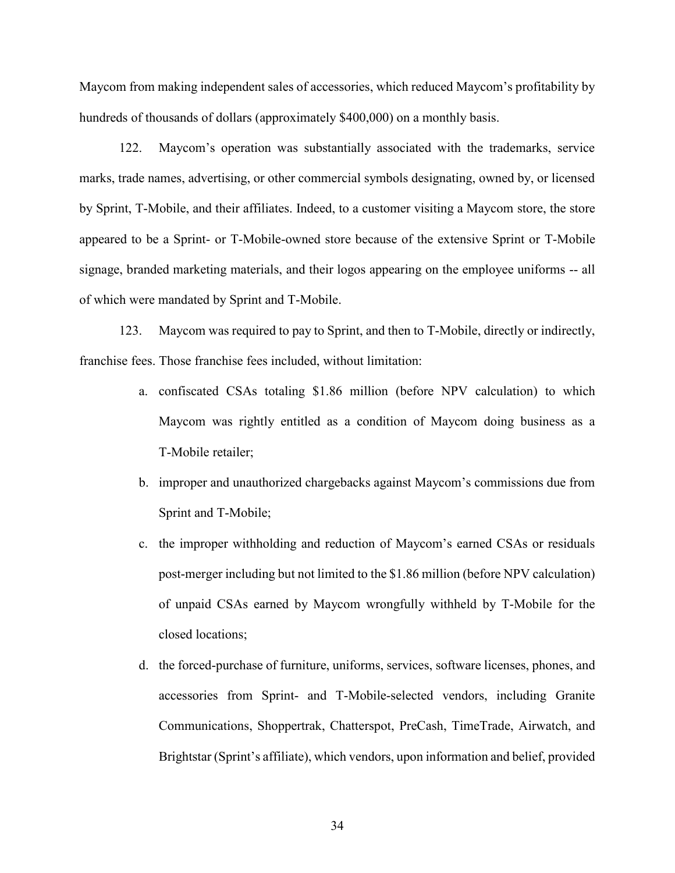Maycom from making independent sales of accessories, which reduced Maycom's profitability by hundreds of thousands of dollars (approximately \$400,000) on a monthly basis.

122. Maycom's operation was substantially associated with the trademarks, service marks, trade names, advertising, or other commercial symbols designating, owned by, or licensed by Sprint, T-Mobile, and their affiliates. Indeed, to a customer visiting a Maycom store, the store appeared to be a Sprint- or T-Mobile-owned store because of the extensive Sprint or T-Mobile signage, branded marketing materials, and their logos appearing on the employee uniforms -- all of which were mandated by Sprint and T-Mobile.

123. Maycom was required to pay to Sprint, and then to T-Mobile, directly or indirectly, franchise fees. Those franchise fees included, without limitation:

- a. confiscated CSAs totaling \$1.86 million (before NPV calculation) to which Maycom was rightly entitled as a condition of Maycom doing business as a T-Mobile retailer;
- b. improper and unauthorized chargebacks against Maycom's commissions due from Sprint and T-Mobile;
- c. the improper withholding and reduction of Maycom's earned CSAs or residuals post-merger including but not limited to the \$1.86 million (before NPV calculation) of unpaid CSAs earned by Maycom wrongfully withheld by T-Mobile for the closed locations;
- d. the forced-purchase of furniture, uniforms, services, software licenses, phones, and accessories from Sprint- and T-Mobile-selected vendors, including Granite Communications, Shoppertrak, Chatterspot, PreCash, TimeTrade, Airwatch, and Brightstar (Sprint's affiliate), which vendors, upon information and belief, provided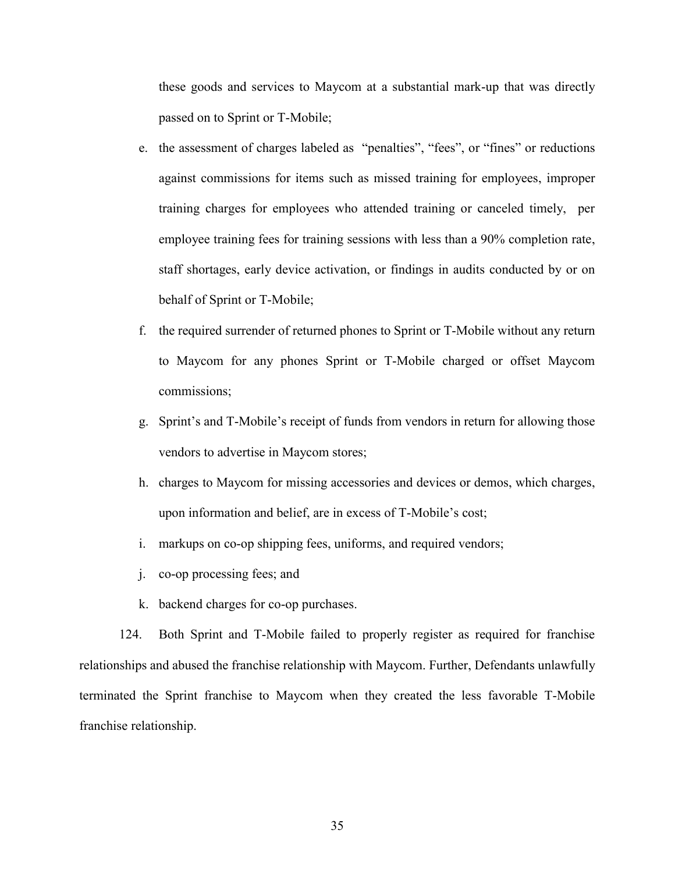these goods and services to Maycom at a substantial mark-up that was directly passed on to Sprint or T-Mobile;

- e. the assessment of charges labeled as "penalties", "fees", or "fines" or reductions against commissions for items such as missed training for employees, improper training charges for employees who attended training or canceled timely, per employee training fees for training sessions with less than a 90% completion rate, staff shortages, early device activation, or findings in audits conducted by or on behalf of Sprint or T-Mobile;
- f. the required surrender of returned phones to Sprint or T-Mobile without any return to Maycom for any phones Sprint or T-Mobile charged or offset Maycom commissions;
- g. Sprint's and T-Mobile's receipt of funds from vendors in return for allowing those vendors to advertise in Maycom stores;
- h. charges to Maycom for missing accessories and devices or demos, which charges, upon information and belief, are in excess of T-Mobile's cost;
- i. markups on co-op shipping fees, uniforms, and required vendors;
- j. co-op processing fees; and
- k. backend charges for co-op purchases.

124. Both Sprint and T-Mobile failed to properly register as required for franchise relationships and abused the franchise relationship with Maycom. Further, Defendants unlawfully terminated the Sprint franchise to Maycom when they created the less favorable T-Mobile franchise relationship.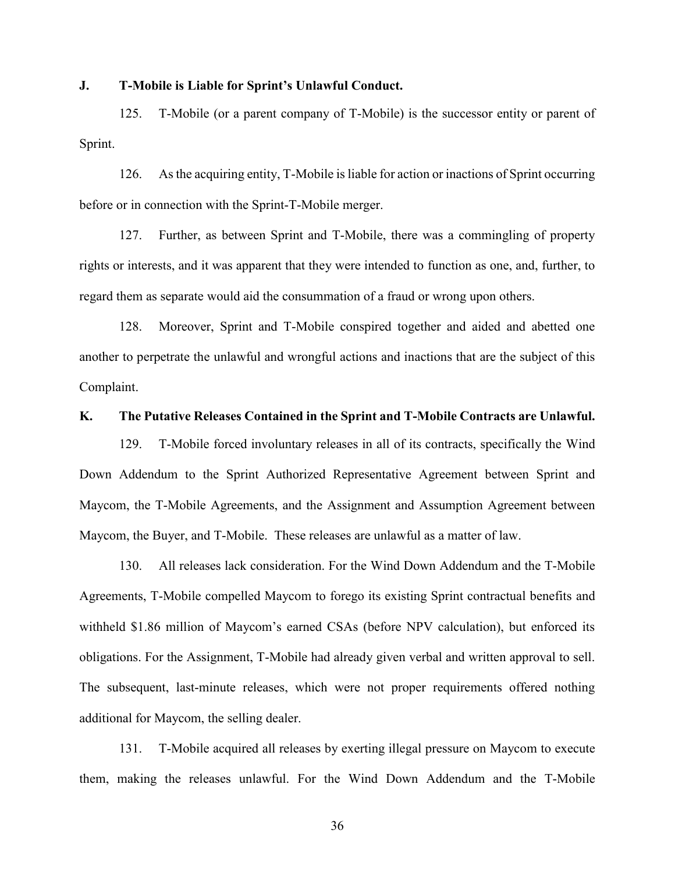### **J. T-Mobile is Liable for Sprint's Unlawful Conduct.**

125. T-Mobile (or a parent company of T-Mobile) is the successor entity or parent of Sprint.

126. As the acquiring entity, T-Mobile is liable for action or inactions of Sprint occurring before or in connection with the Sprint-T-Mobile merger.

127. Further, as between Sprint and T-Mobile, there was a commingling of property rights or interests, and it was apparent that they were intended to function as one, and, further, to regard them as separate would aid the consummation of a fraud or wrong upon others.

128. Moreover, Sprint and T-Mobile conspired together and aided and abetted one another to perpetrate the unlawful and wrongful actions and inactions that are the subject of this Complaint.

#### **K. The Putative Releases Contained in the Sprint and T-Mobile Contracts are Unlawful.**

129. T-Mobile forced involuntary releases in all of its contracts, specifically the Wind Down Addendum to the Sprint Authorized Representative Agreement between Sprint and Maycom, the T-Mobile Agreements, and the Assignment and Assumption Agreement between Maycom, the Buyer, and T-Mobile. These releases are unlawful as a matter of law.

130. All releases lack consideration. For the Wind Down Addendum and the T-Mobile Agreements, T-Mobile compelled Maycom to forego its existing Sprint contractual benefits and withheld \$1.86 million of Maycom's earned CSAs (before NPV calculation), but enforced its obligations. For the Assignment, T-Mobile had already given verbal and written approval to sell. The subsequent, last-minute releases, which were not proper requirements offered nothing additional for Maycom, the selling dealer.

131. T-Mobile acquired all releases by exerting illegal pressure on Maycom to execute them, making the releases unlawful. For the Wind Down Addendum and the T-Mobile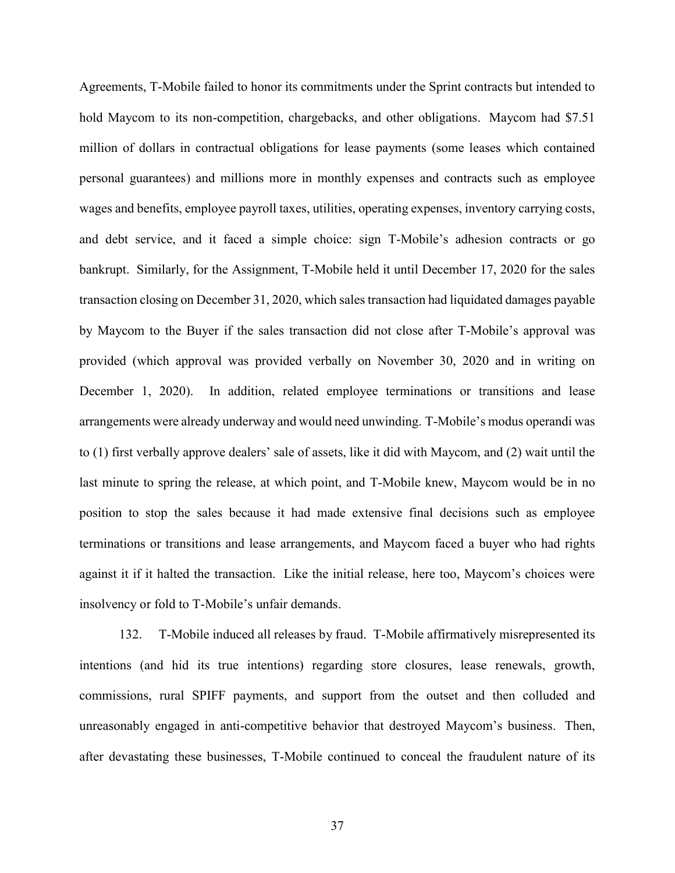Agreements, T-Mobile failed to honor its commitments under the Sprint contracts but intended to hold Maycom to its non-competition, chargebacks, and other obligations. Maycom had \$7.51 million of dollars in contractual obligations for lease payments (some leases which contained personal guarantees) and millions more in monthly expenses and contracts such as employee wages and benefits, employee payroll taxes, utilities, operating expenses, inventory carrying costs, and debt service, and it faced a simple choice: sign T-Mobile's adhesion contracts or go bankrupt. Similarly, for the Assignment, T-Mobile held it until December 17, 2020 for the sales transaction closing on December 31, 2020, which sales transaction had liquidated damages payable by Maycom to the Buyer if the sales transaction did not close after T-Mobile's approval was provided (which approval was provided verbally on November 30, 2020 and in writing on December 1, 2020). In addition, related employee terminations or transitions and lease arrangements were already underway and would need unwinding. T-Mobile's modus operandi was to (1) first verbally approve dealers' sale of assets, like it did with Maycom, and (2) wait until the last minute to spring the release, at which point, and T-Mobile knew, Maycom would be in no position to stop the sales because it had made extensive final decisions such as employee terminations or transitions and lease arrangements, and Maycom faced a buyer who had rights against it if it halted the transaction. Like the initial release, here too, Maycom's choices were insolvency or fold to T-Mobile's unfair demands.

132. T-Mobile induced all releases by fraud. T-Mobile affirmatively misrepresented its intentions (and hid its true intentions) regarding store closures, lease renewals, growth, commissions, rural SPIFF payments, and support from the outset and then colluded and unreasonably engaged in anti-competitive behavior that destroyed Maycom's business. Then, after devastating these businesses, T-Mobile continued to conceal the fraudulent nature of its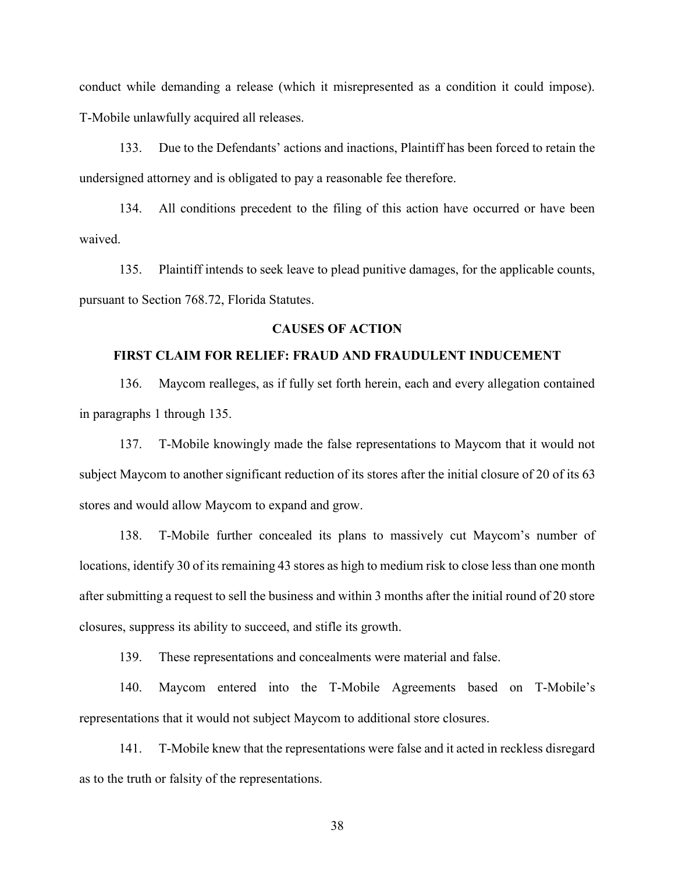conduct while demanding a release (which it misrepresented as a condition it could impose). T-Mobile unlawfully acquired all releases.

133. Due to the Defendants' actions and inactions, Plaintiff has been forced to retain the undersigned attorney and is obligated to pay a reasonable fee therefore.

134. All conditions precedent to the filing of this action have occurred or have been waived.

135. Plaintiff intends to seek leave to plead punitive damages, for the applicable counts, pursuant to Section 768.72, Florida Statutes.

## **CAUSES OF ACTION**

## **FIRST CLAIM FOR RELIEF: FRAUD AND FRAUDULENT INDUCEMENT**

136. Maycom realleges, as if fully set forth herein, each and every allegation contained in paragraphs 1 through 135.

137. T-Mobile knowingly made the false representations to Maycom that it would not subject Maycom to another significant reduction of its stores after the initial closure of 20 of its 63 stores and would allow Maycom to expand and grow.

138. T-Mobile further concealed its plans to massively cut Maycom's number of locations, identify 30 of its remaining 43 stores as high to medium risk to close less than one month after submitting a request to sell the business and within 3 months after the initial round of 20 store closures, suppress its ability to succeed, and stifle its growth.

139. These representations and concealments were material and false.

140. Maycom entered into the T-Mobile Agreements based on T-Mobile's representations that it would not subject Maycom to additional store closures.

141. T-Mobile knew that the representations were false and it acted in reckless disregard as to the truth or falsity of the representations.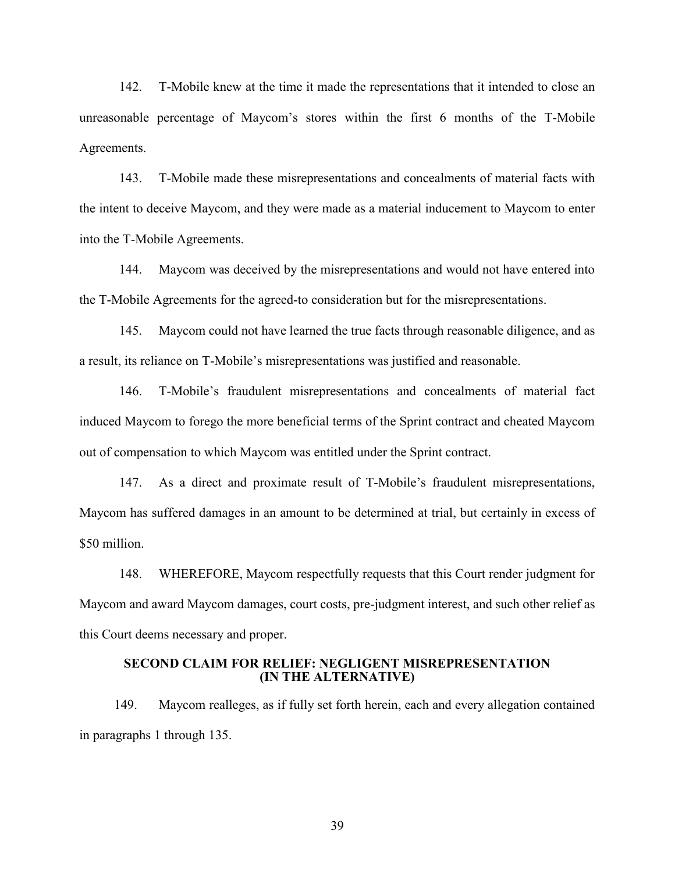142. T-Mobile knew at the time it made the representations that it intended to close an unreasonable percentage of Maycom's stores within the first 6 months of the T-Mobile Agreements.

143. T-Mobile made these misrepresentations and concealments of material facts with the intent to deceive Maycom, and they were made as a material inducement to Maycom to enter into the T-Mobile Agreements.

144. Maycom was deceived by the misrepresentations and would not have entered into the T-Mobile Agreements for the agreed-to consideration but for the misrepresentations.

145. Maycom could not have learned the true facts through reasonable diligence, and as a result, its reliance on T-Mobile's misrepresentations was justified and reasonable.

146. T-Mobile's fraudulent misrepresentations and concealments of material fact induced Maycom to forego the more beneficial terms of the Sprint contract and cheated Maycom out of compensation to which Maycom was entitled under the Sprint contract.

147. As a direct and proximate result of T-Mobile's fraudulent misrepresentations, Maycom has suffered damages in an amount to be determined at trial, but certainly in excess of \$50 million.

148. WHEREFORE, Maycom respectfully requests that this Court render judgment for Maycom and award Maycom damages, court costs, pre-judgment interest, and such other relief as this Court deems necessary and proper.

### **SECOND CLAIM FOR RELIEF: NEGLIGENT MISREPRESENTATION (IN THE ALTERNATIVE)**

149. Maycom realleges, as if fully set forth herein, each and every allegation contained in paragraphs 1 through 135.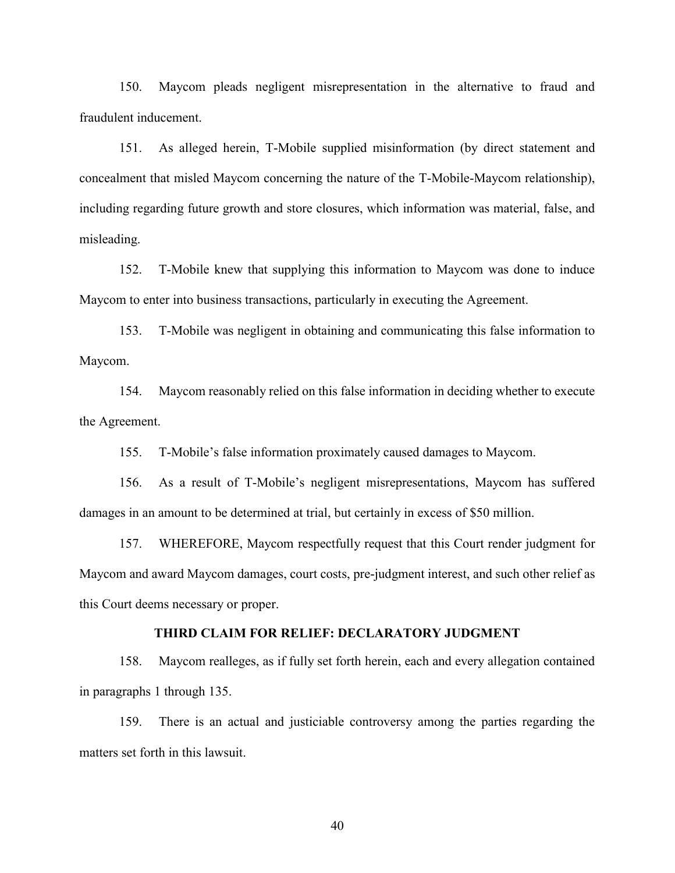150. Maycom pleads negligent misrepresentation in the alternative to fraud and fraudulent inducement.

151. As alleged herein, T-Mobile supplied misinformation (by direct statement and concealment that misled Maycom concerning the nature of the T-Mobile-Maycom relationship), including regarding future growth and store closures, which information was material, false, and misleading.

152. T-Mobile knew that supplying this information to Maycom was done to induce Maycom to enter into business transactions, particularly in executing the Agreement.

153. T-Mobile was negligent in obtaining and communicating this false information to Maycom.

154. Maycom reasonably relied on this false information in deciding whether to execute the Agreement.

155. T-Mobile's false information proximately caused damages to Maycom.

156. As a result of T-Mobile's negligent misrepresentations, Maycom has suffered damages in an amount to be determined at trial, but certainly in excess of \$50 million.

157. WHEREFORE, Maycom respectfully request that this Court render judgment for Maycom and award Maycom damages, court costs, pre-judgment interest, and such other relief as this Court deems necessary or proper.

### **THIRD CLAIM FOR RELIEF: DECLARATORY JUDGMENT**

158. Maycom realleges, as if fully set forth herein, each and every allegation contained in paragraphs 1 through 135.

159. There is an actual and justiciable controversy among the parties regarding the matters set forth in this lawsuit.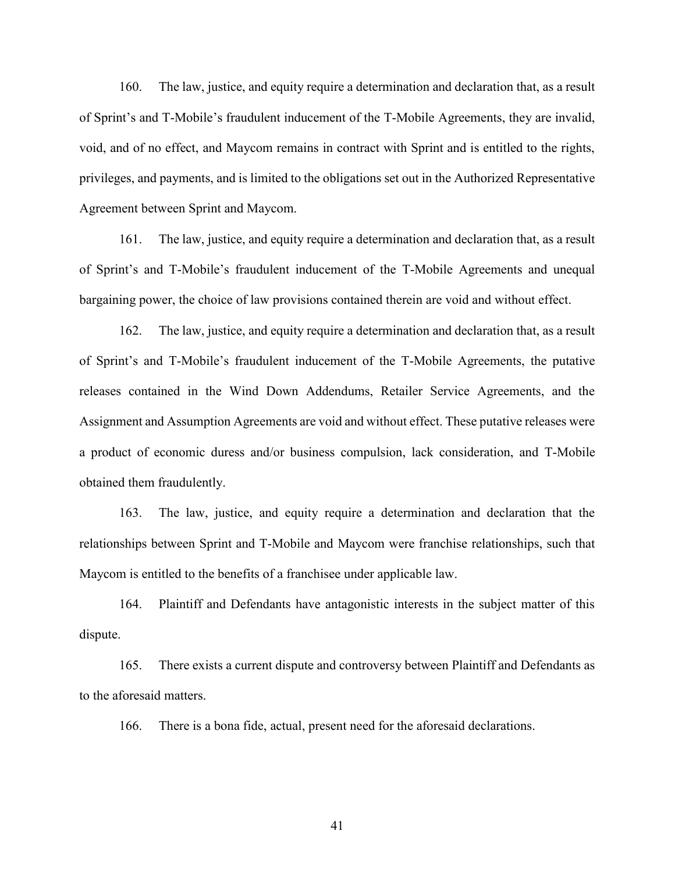160. The law, justice, and equity require a determination and declaration that, as a result of Sprint's and T-Mobile's fraudulent inducement of the T-Mobile Agreements, they are invalid, void, and of no effect, and Maycom remains in contract with Sprint and is entitled to the rights, privileges, and payments, and is limited to the obligations set out in the Authorized Representative Agreement between Sprint and Maycom.

161. The law, justice, and equity require a determination and declaration that, as a result of Sprint's and T-Mobile's fraudulent inducement of the T-Mobile Agreements and unequal bargaining power, the choice of law provisions contained therein are void and without effect.

162. The law, justice, and equity require a determination and declaration that, as a result of Sprint's and T-Mobile's fraudulent inducement of the T-Mobile Agreements, the putative releases contained in the Wind Down Addendums, Retailer Service Agreements, and the Assignment and Assumption Agreements are void and without effect. These putative releases were a product of economic duress and/or business compulsion, lack consideration, and T-Mobile obtained them fraudulently.

163. The law, justice, and equity require a determination and declaration that the relationships between Sprint and T-Mobile and Maycom were franchise relationships, such that Maycom is entitled to the benefits of a franchisee under applicable law.

164. Plaintiff and Defendants have antagonistic interests in the subject matter of this dispute.

165. There exists a current dispute and controversy between Plaintiff and Defendants as to the aforesaid matters.

166. There is a bona fide, actual, present need for the aforesaid declarations.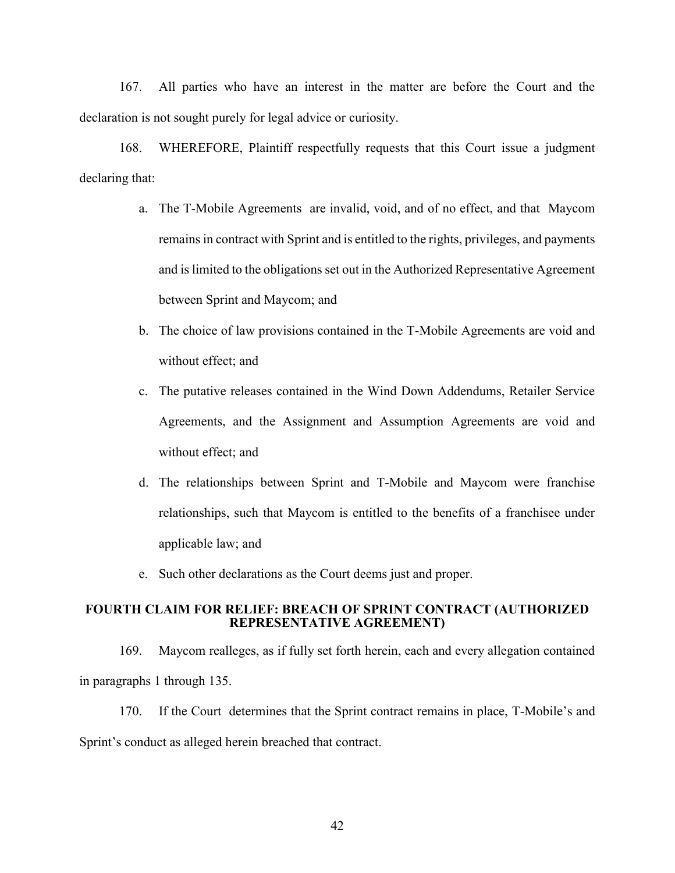167. All parties who have an interest in the matter are before the Court and the declaration is not sought purely for legal advice or curiosity.

168. WHEREFORE, Plaintiff respectfully requests that this Court issue a judgment declaring that:

- a. The T-Mobile Agreements are invalid, void, and of no effect, and that Maycom remains in contract with Sprint and is entitled to the rights, privileges, and payments and is limited to the obligations set out in the Authorized Representative Agreement between Sprint and Maycom; and
- b. The choice of law provisions contained in the T-Mobile Agreements are void and without effect; and
- c. The putative releases contained in the Wind Down Addendums, Retailer Service Agreements, and the Assignment and Assumption Agreements are void and without effect; and
- d. The relationships between Sprint and T-Mobile and Maycom were franchise relationships, such that Maycom is entitled to the benefits of a franchisee under applicable law; and
- e. Such other declarations as the Court deems just and proper.

### **FOURTH CLAIM FOR RELIEF: BREACH OF SPRINT CONTRACT (AUTHORIZED REPRESENTATIVE AGREEMENT)**

169. Maycom realleges, as if fully set forth herein, each and every allegation contained in paragraphs 1 through 135.

170. If the Court determines that the Sprint contract remains in place, T-Mobile's and Sprint's conduct as alleged herein breached that contract.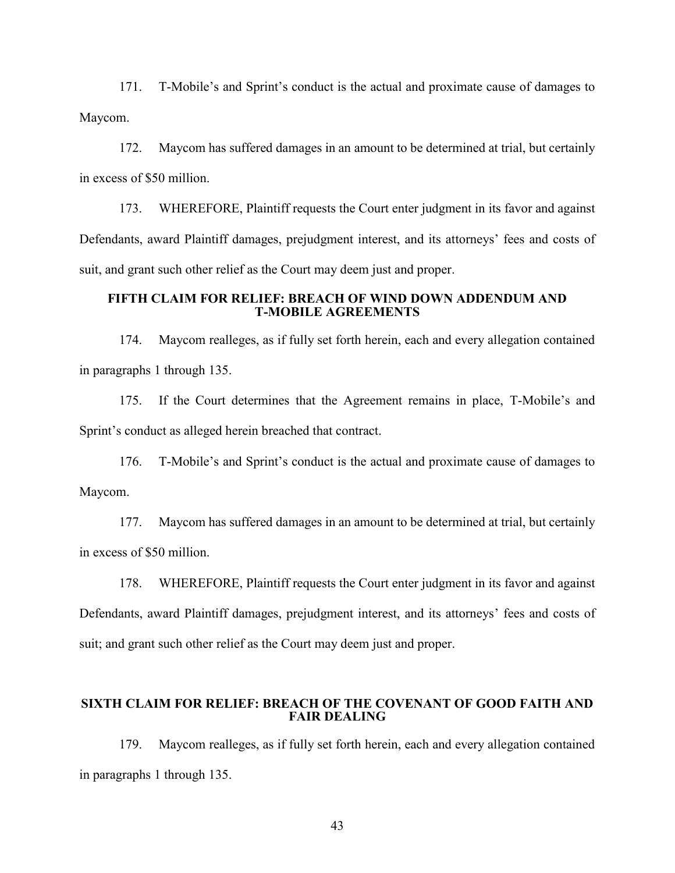171. T-Mobile's and Sprint's conduct is the actual and proximate cause of damages to Maycom.

172. Maycom has suffered damages in an amount to be determined at trial, but certainly in excess of \$50 million.

173. WHEREFORE, Plaintiff requests the Court enter judgment in its favor and against Defendants, award Plaintiff damages, prejudgment interest, and its attorneys' fees and costs of suit, and grant such other relief as the Court may deem just and proper.

### **FIFTH CLAIM FOR RELIEF: BREACH OF WIND DOWN ADDENDUM AND T-MOBILE AGREEMENTS**

174. Maycom realleges, as if fully set forth herein, each and every allegation contained in paragraphs 1 through 135.

175. If the Court determines that the Agreement remains in place, T-Mobile's and Sprint's conduct as alleged herein breached that contract.

176. T-Mobile's and Sprint's conduct is the actual and proximate cause of damages to Maycom.

177. Maycom has suffered damages in an amount to be determined at trial, but certainly in excess of \$50 million.

178. WHEREFORE, Plaintiff requests the Court enter judgment in its favor and against Defendants, award Plaintiff damages, prejudgment interest, and its attorneys' fees and costs of suit; and grant such other relief as the Court may deem just and proper.

## **SIXTH CLAIM FOR RELIEF: BREACH OF THE COVENANT OF GOOD FAITH AND FAIR DEALING**

179. Maycom realleges, as if fully set forth herein, each and every allegation contained in paragraphs 1 through 135.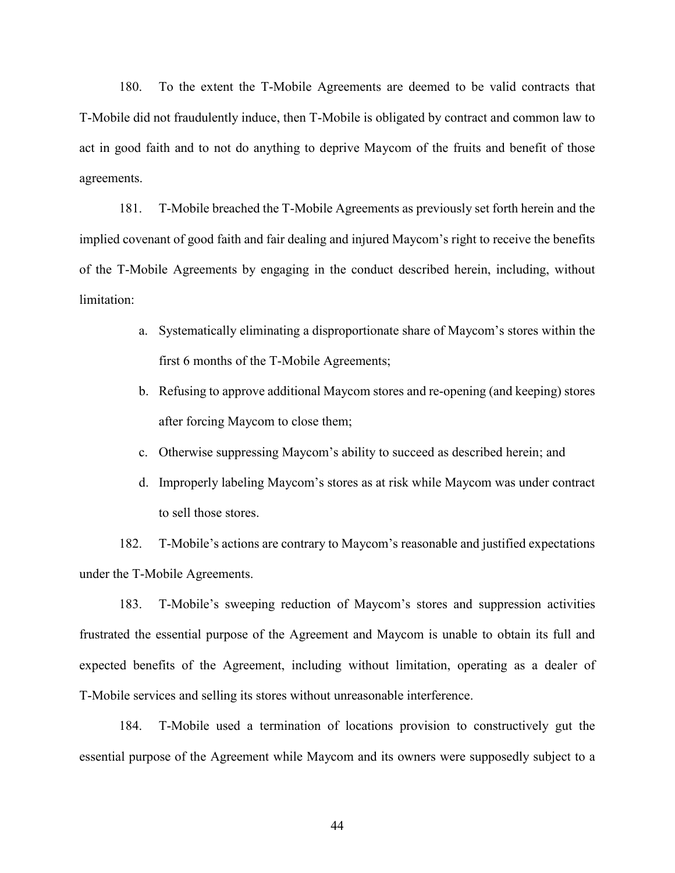180. To the extent the T-Mobile Agreements are deemed to be valid contracts that T-Mobile did not fraudulently induce, then T-Mobile is obligated by contract and common law to act in good faith and to not do anything to deprive Maycom of the fruits and benefit of those agreements.

181. T-Mobile breached the T-Mobile Agreements as previously set forth herein and the implied covenant of good faith and fair dealing and injured Maycom's right to receive the benefits of the T-Mobile Agreements by engaging in the conduct described herein, including, without limitation:

- a. Systematically eliminating a disproportionate share of Maycom's stores within the first 6 months of the T-Mobile Agreements;
- b. Refusing to approve additional Maycom stores and re-opening (and keeping) stores after forcing Maycom to close them;
- c. Otherwise suppressing Maycom's ability to succeed as described herein; and
- d. Improperly labeling Maycom's stores as at risk while Maycom was under contract to sell those stores.

182. T-Mobile's actions are contrary to Maycom's reasonable and justified expectations under the T-Mobile Agreements.

183. T-Mobile's sweeping reduction of Maycom's stores and suppression activities frustrated the essential purpose of the Agreement and Maycom is unable to obtain its full and expected benefits of the Agreement, including without limitation, operating as a dealer of T-Mobile services and selling its stores without unreasonable interference.

184. T-Mobile used a termination of locations provision to constructively gut the essential purpose of the Agreement while Maycom and its owners were supposedly subject to a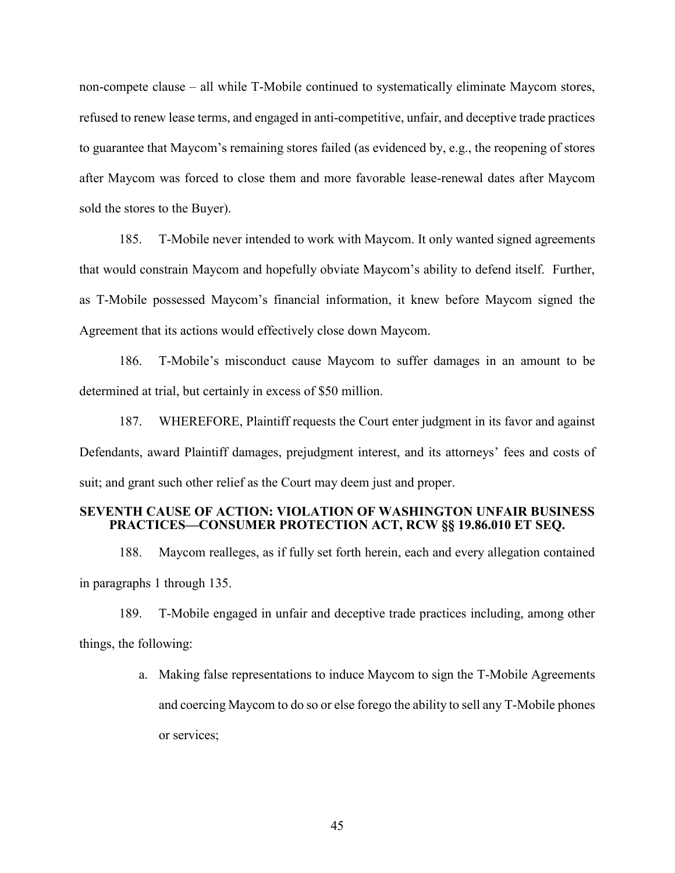non-compete clause – all while T-Mobile continued to systematically eliminate Maycom stores, refused to renew lease terms, and engaged in anti-competitive, unfair, and deceptive trade practices to guarantee that Maycom's remaining stores failed (as evidenced by, e.g., the reopening of stores after Maycom was forced to close them and more favorable lease-renewal dates after Maycom sold the stores to the Buyer).

185. T-Mobile never intended to work with Maycom. It only wanted signed agreements that would constrain Maycom and hopefully obviate Maycom's ability to defend itself. Further, as T-Mobile possessed Maycom's financial information, it knew before Maycom signed the Agreement that its actions would effectively close down Maycom.

186. T-Mobile's misconduct cause Maycom to suffer damages in an amount to be determined at trial, but certainly in excess of \$50 million.

187. WHEREFORE, Plaintiff requests the Court enter judgment in its favor and against Defendants, award Plaintiff damages, prejudgment interest, and its attorneys' fees and costs of suit; and grant such other relief as the Court may deem just and proper.

# **SEVENTH CAUSE OF ACTION: VIOLATION OF WASHINGTON UNFAIR BUSINESS PRACTICES—CONSUMER PROTECTION ACT, RCW §§ 19.86.010 ET SEQ.**

188. Maycom realleges, as if fully set forth herein, each and every allegation contained in paragraphs 1 through 135.

189. T-Mobile engaged in unfair and deceptive trade practices including, among other things, the following:

> a. Making false representations to induce Maycom to sign the T-Mobile Agreements and coercing Maycom to do so or else forego the ability to sell any T-Mobile phones or services;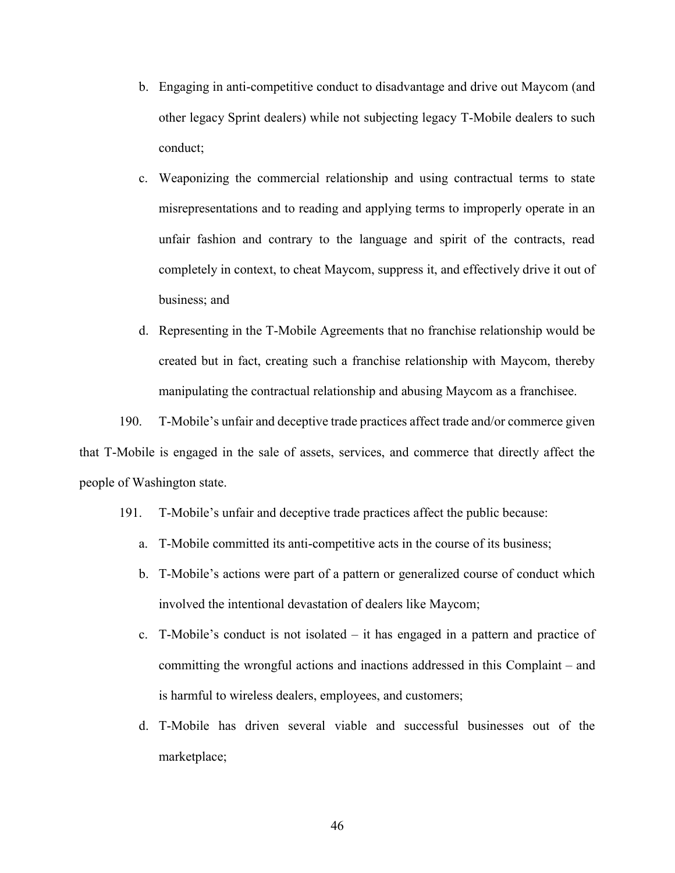- b. Engaging in anti-competitive conduct to disadvantage and drive out Maycom (and other legacy Sprint dealers) while not subjecting legacy T-Mobile dealers to such conduct;
- c. Weaponizing the commercial relationship and using contractual terms to state misrepresentations and to reading and applying terms to improperly operate in an unfair fashion and contrary to the language and spirit of the contracts, read completely in context, to cheat Maycom, suppress it, and effectively drive it out of business; and
- d. Representing in the T-Mobile Agreements that no franchise relationship would be created but in fact, creating such a franchise relationship with Maycom, thereby manipulating the contractual relationship and abusing Maycom as a franchisee.

190. T-Mobile's unfair and deceptive trade practices affect trade and/or commerce given that T-Mobile is engaged in the sale of assets, services, and commerce that directly affect the people of Washington state.

- 191. T-Mobile's unfair and deceptive trade practices affect the public because:
	- a. T-Mobile committed its anti-competitive acts in the course of its business;
	- b. T-Mobile's actions were part of a pattern or generalized course of conduct which involved the intentional devastation of dealers like Maycom;
	- c. T-Mobile's conduct is not isolated it has engaged in a pattern and practice of committing the wrongful actions and inactions addressed in this Complaint – and is harmful to wireless dealers, employees, and customers;
	- d. T-Mobile has driven several viable and successful businesses out of the marketplace;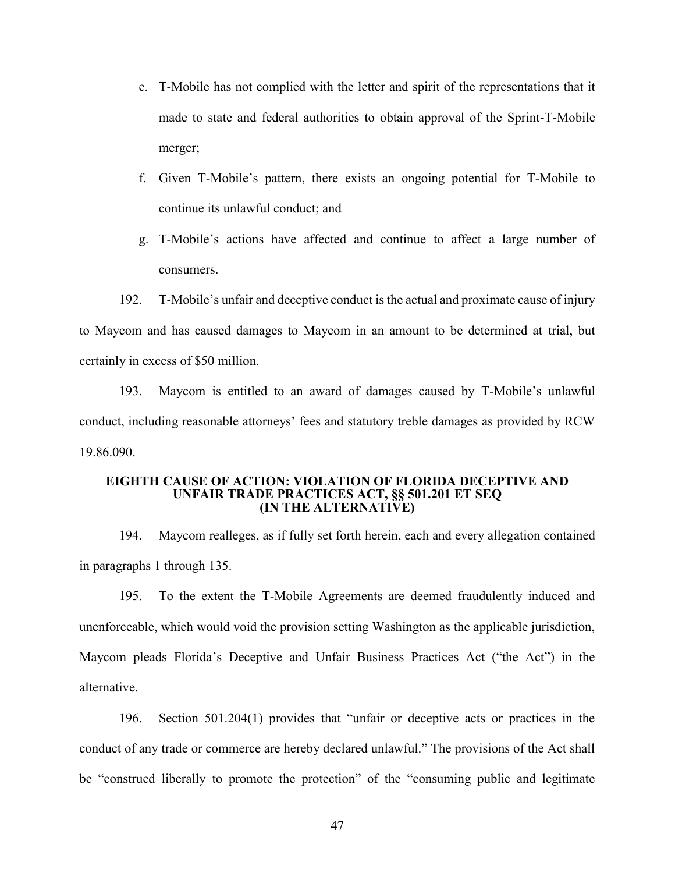- e. T-Mobile has not complied with the letter and spirit of the representations that it made to state and federal authorities to obtain approval of the Sprint-T-Mobile merger;
- f. Given T-Mobile's pattern, there exists an ongoing potential for T-Mobile to continue its unlawful conduct; and
- g. T-Mobile's actions have affected and continue to affect a large number of consumers.

192. T-Mobile's unfair and deceptive conduct is the actual and proximate cause of injury to Maycom and has caused damages to Maycom in an amount to be determined at trial, but certainly in excess of \$50 million.

193. Maycom is entitled to an award of damages caused by T-Mobile's unlawful conduct, including reasonable attorneys' fees and statutory treble damages as provided by RCW 19.86.090.

#### **EIGHTH CAUSE OF ACTION: VIOLATION OF FLORIDA DECEPTIVE AND UNFAIR TRADE PRACTICES ACT, §§ 501.201 ET SEQ (IN THE ALTERNATIVE)**

194. Maycom realleges, as if fully set forth herein, each and every allegation contained in paragraphs 1 through 135.

195. To the extent the T-Mobile Agreements are deemed fraudulently induced and unenforceable, which would void the provision setting Washington as the applicable jurisdiction, Maycom pleads Florida's Deceptive and Unfair Business Practices Act ("the Act") in the alternative.

196. Section 501.204(1) provides that "unfair or deceptive acts or practices in the conduct of any trade or commerce are hereby declared unlawful." The provisions of the Act shall be "construed liberally to promote the protection" of the "consuming public and legitimate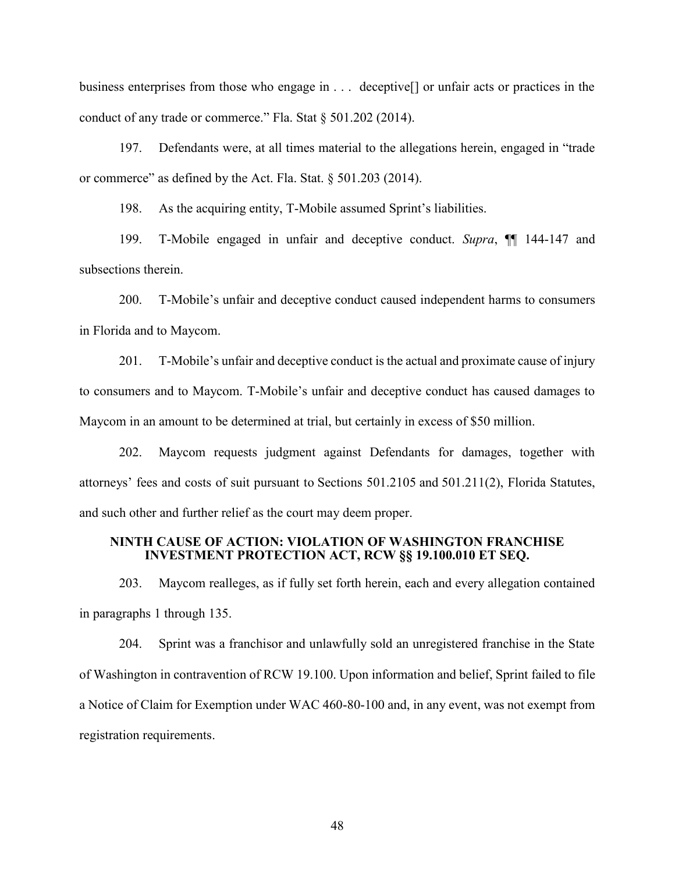business enterprises from those who engage in . . . deceptive[] or unfair acts or practices in the conduct of any trade or commerce." Fla. Stat § 501.202 (2014).

197. Defendants were, at all times material to the allegations herein, engaged in "trade or commerce" as defined by the Act. Fla. Stat. § 501.203 (2014).

198. As the acquiring entity, T-Mobile assumed Sprint's liabilities.

199. T-Mobile engaged in unfair and deceptive conduct. *Supra*, ¶¶ 144-147 and subsections therein.

200. T-Mobile's unfair and deceptive conduct caused independent harms to consumers in Florida and to Maycom.

201. T-Mobile's unfair and deceptive conduct is the actual and proximate cause of injury to consumers and to Maycom. T-Mobile's unfair and deceptive conduct has caused damages to Maycom in an amount to be determined at trial, but certainly in excess of \$50 million.

202. Maycom requests judgment against Defendants for damages, together with attorneys' fees and costs of suit pursuant to Sections 501.2105 and 501.211(2), Florida Statutes, and such other and further relief as the court may deem proper.

### **NINTH CAUSE OF ACTION: VIOLATION OF WASHINGTON FRANCHISE INVESTMENT PROTECTION ACT, RCW §§ 19.100.010 ET SEQ.**

203. Maycom realleges, as if fully set forth herein, each and every allegation contained in paragraphs 1 through 135.

204. Sprint was a franchisor and unlawfully sold an unregistered franchise in the State of Washington in contravention of RCW 19.100. Upon information and belief, Sprint failed to file a Notice of Claim for Exemption under WAC 460-80-100 and, in any event, was not exempt from registration requirements.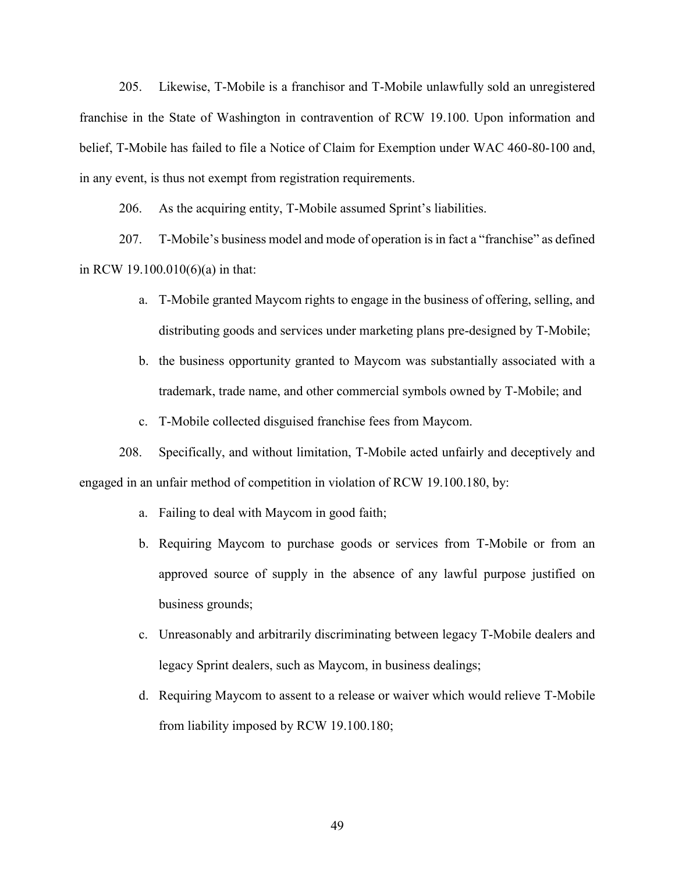205. Likewise, T-Mobile is a franchisor and T-Mobile unlawfully sold an unregistered franchise in the State of Washington in contravention of RCW 19.100. Upon information and belief, T-Mobile has failed to file a Notice of Claim for Exemption under WAC 460-80-100 and, in any event, is thus not exempt from registration requirements.

206. As the acquiring entity, T-Mobile assumed Sprint's liabilities.

207. T-Mobile's business model and mode of operation is in fact a "franchise" as defined in RCW 19.100.010(6)(a) in that:

- a. T-Mobile granted Maycom rights to engage in the business of offering, selling, and distributing goods and services under marketing plans pre-designed by T-Mobile;
- b. the business opportunity granted to Maycom was substantially associated with a trademark, trade name, and other commercial symbols owned by T-Mobile; and
- c. T-Mobile collected disguised franchise fees from Maycom.

208. Specifically, and without limitation, T-Mobile acted unfairly and deceptively and engaged in an unfair method of competition in violation of RCW 19.100.180, by:

- a. Failing to deal with Maycom in good faith;
- b. Requiring Maycom to purchase goods or services from T-Mobile or from an approved source of supply in the absence of any lawful purpose justified on business grounds;
- c. Unreasonably and arbitrarily discriminating between legacy T-Mobile dealers and legacy Sprint dealers, such as Maycom, in business dealings;
- d. Requiring Maycom to assent to a release or waiver which would relieve T-Mobile from liability imposed by RCW 19.100.180;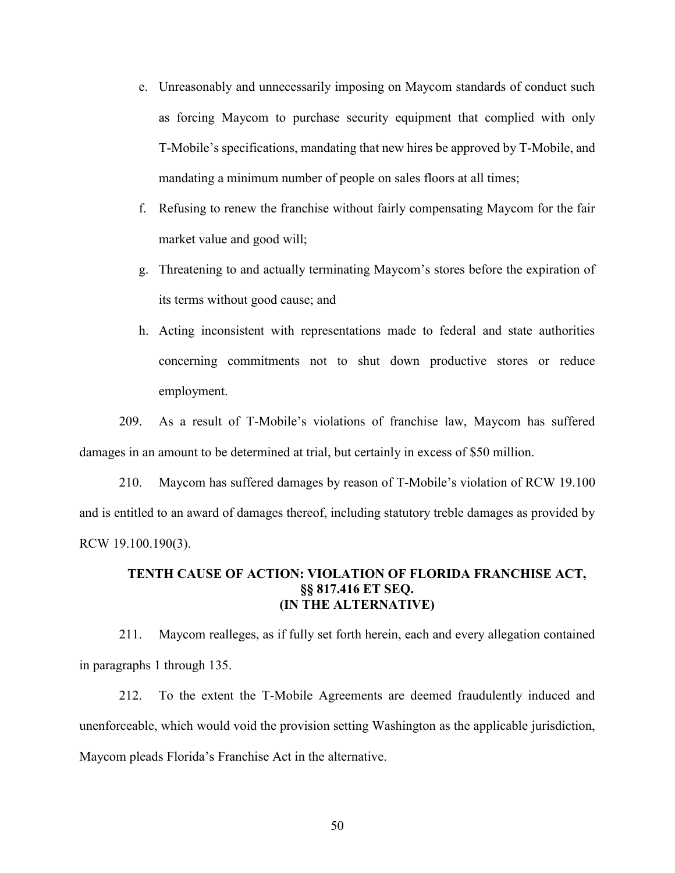- e. Unreasonably and unnecessarily imposing on Maycom standards of conduct such as forcing Maycom to purchase security equipment that complied with only T-Mobile's specifications, mandating that new hires be approved by T-Mobile, and mandating a minimum number of people on sales floors at all times;
- f. Refusing to renew the franchise without fairly compensating Maycom for the fair market value and good will;
- g. Threatening to and actually terminating Maycom's stores before the expiration of its terms without good cause; and
- h. Acting inconsistent with representations made to federal and state authorities concerning commitments not to shut down productive stores or reduce employment.

209. As a result of T-Mobile's violations of franchise law, Maycom has suffered damages in an amount to be determined at trial, but certainly in excess of \$50 million.

210. Maycom has suffered damages by reason of T-Mobile's violation of RCW 19.100 and is entitled to an award of damages thereof, including statutory treble damages as provided by RCW 19.100.190(3).

# **TENTH CAUSE OF ACTION: VIOLATION OF FLORIDA FRANCHISE ACT, §§ 817.416 ET SEQ. (IN THE ALTERNATIVE)**

211. Maycom realleges, as if fully set forth herein, each and every allegation contained in paragraphs 1 through 135.

212. To the extent the T-Mobile Agreements are deemed fraudulently induced and unenforceable, which would void the provision setting Washington as the applicable jurisdiction, Maycom pleads Florida's Franchise Act in the alternative.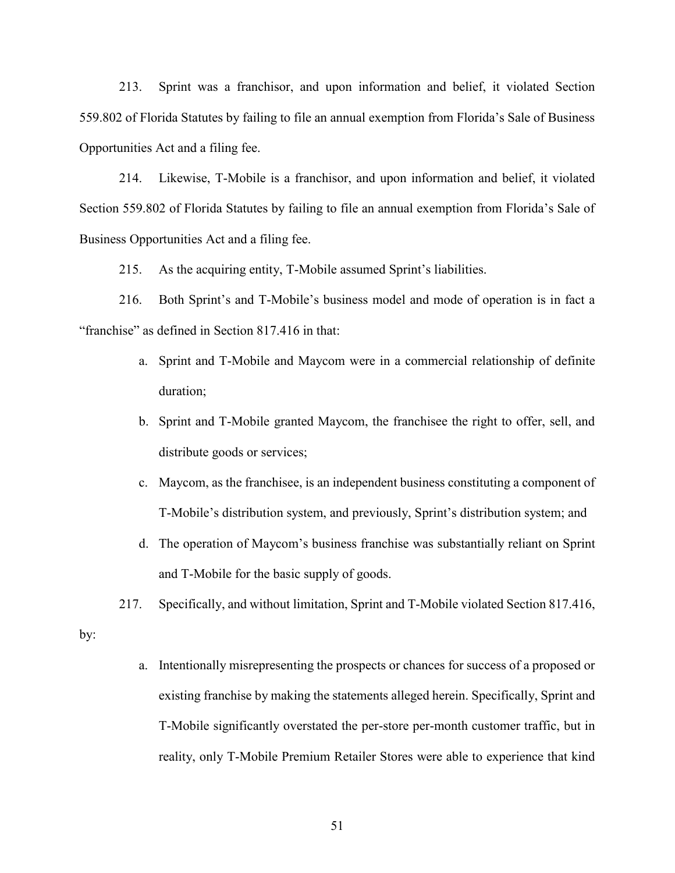213. Sprint was a franchisor, and upon information and belief, it violated Section 559.802 of Florida Statutes by failing to file an annual exemption from Florida's Sale of Business Opportunities Act and a filing fee.

214. Likewise, T-Mobile is a franchisor, and upon information and belief, it violated Section 559.802 of Florida Statutes by failing to file an annual exemption from Florida's Sale of Business Opportunities Act and a filing fee.

215. As the acquiring entity, T-Mobile assumed Sprint's liabilities.

216. Both Sprint's and T-Mobile's business model and mode of operation is in fact a "franchise" as defined in Section 817.416 in that:

- a. Sprint and T-Mobile and Maycom were in a commercial relationship of definite duration;
- b. Sprint and T-Mobile granted Maycom, the franchisee the right to offer, sell, and distribute goods or services;
- c. Maycom, as the franchisee, is an independent business constituting a component of T-Mobile's distribution system, and previously, Sprint's distribution system; and
- d. The operation of Maycom's business franchise was substantially reliant on Sprint and T-Mobile for the basic supply of goods.
- 217. Specifically, and without limitation, Sprint and T-Mobile violated Section 817.416,

by:

a. Intentionally misrepresenting the prospects or chances for success of a proposed or existing franchise by making the statements alleged herein. Specifically, Sprint and T-Mobile significantly overstated the per-store per-month customer traffic, but in reality, only T-Mobile Premium Retailer Stores were able to experience that kind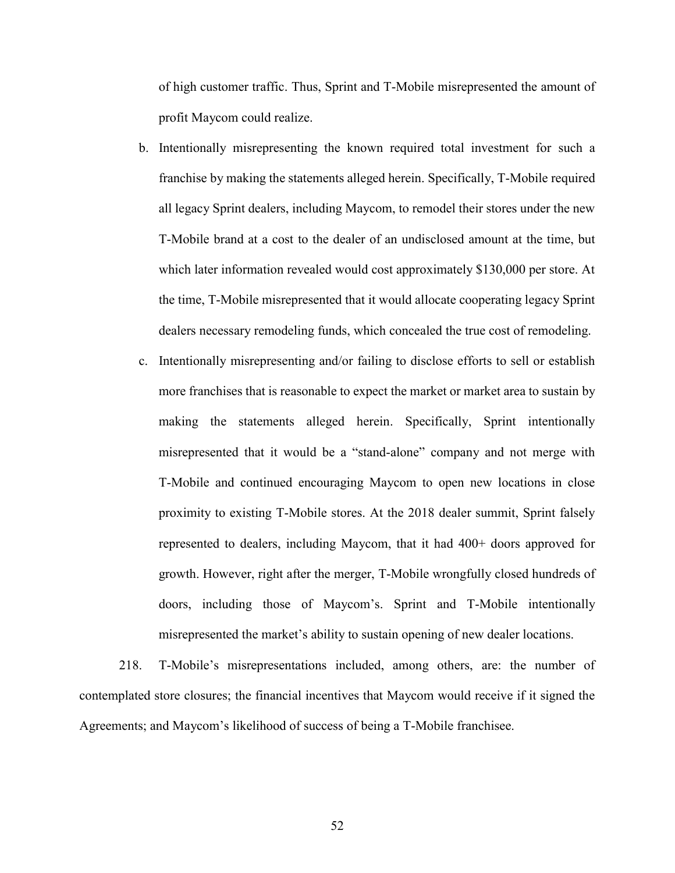of high customer traffic. Thus, Sprint and T-Mobile misrepresented the amount of profit Maycom could realize.

- b. Intentionally misrepresenting the known required total investment for such a franchise by making the statements alleged herein. Specifically, T-Mobile required all legacy Sprint dealers, including Maycom, to remodel their stores under the new T-Mobile brand at a cost to the dealer of an undisclosed amount at the time, but which later information revealed would cost approximately \$130,000 per store. At the time, T-Mobile misrepresented that it would allocate cooperating legacy Sprint dealers necessary remodeling funds, which concealed the true cost of remodeling.
- c. Intentionally misrepresenting and/or failing to disclose efforts to sell or establish more franchises that is reasonable to expect the market or market area to sustain by making the statements alleged herein. Specifically, Sprint intentionally misrepresented that it would be a "stand-alone" company and not merge with T-Mobile and continued encouraging Maycom to open new locations in close proximity to existing T-Mobile stores. At the 2018 dealer summit, Sprint falsely represented to dealers, including Maycom, that it had 400+ doors approved for growth. However, right after the merger, T-Mobile wrongfully closed hundreds of doors, including those of Maycom's. Sprint and T-Mobile intentionally misrepresented the market's ability to sustain opening of new dealer locations.

218. T-Mobile's misrepresentations included, among others, are: the number of contemplated store closures; the financial incentives that Maycom would receive if it signed the Agreements; and Maycom's likelihood of success of being a T-Mobile franchisee.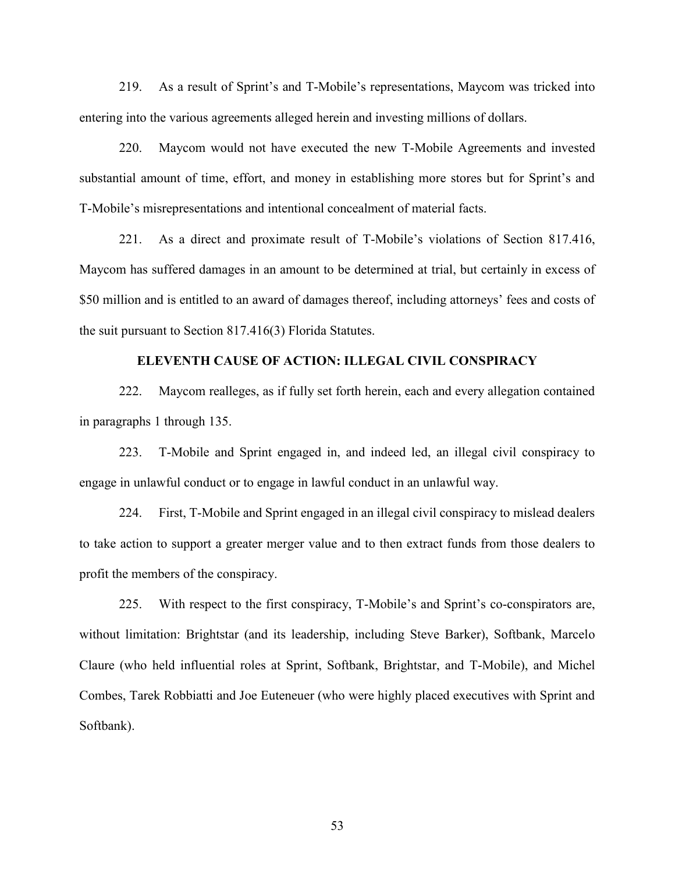219. As a result of Sprint's and T-Mobile's representations, Maycom was tricked into entering into the various agreements alleged herein and investing millions of dollars.

220. Maycom would not have executed the new T-Mobile Agreements and invested substantial amount of time, effort, and money in establishing more stores but for Sprint's and T-Mobile's misrepresentations and intentional concealment of material facts.

221. As a direct and proximate result of T-Mobile's violations of Section 817.416, Maycom has suffered damages in an amount to be determined at trial, but certainly in excess of \$50 million and is entitled to an award of damages thereof, including attorneys' fees and costs of the suit pursuant to Section 817.416(3) Florida Statutes.

### **ELEVENTH CAUSE OF ACTION: ILLEGAL CIVIL CONSPIRACY**

222. Maycom realleges, as if fully set forth herein, each and every allegation contained in paragraphs 1 through 135.

223. T-Mobile and Sprint engaged in, and indeed led, an illegal civil conspiracy to engage in unlawful conduct or to engage in lawful conduct in an unlawful way.

224. First, T-Mobile and Sprint engaged in an illegal civil conspiracy to mislead dealers to take action to support a greater merger value and to then extract funds from those dealers to profit the members of the conspiracy.

225. With respect to the first conspiracy, T-Mobile's and Sprint's co-conspirators are, without limitation: Brightstar (and its leadership, including Steve Barker), Softbank, Marcelo Claure (who held influential roles at Sprint, Softbank, Brightstar, and T-Mobile), and Michel Combes, Tarek Robbiatti and Joe Euteneuer (who were highly placed executives with Sprint and Softbank).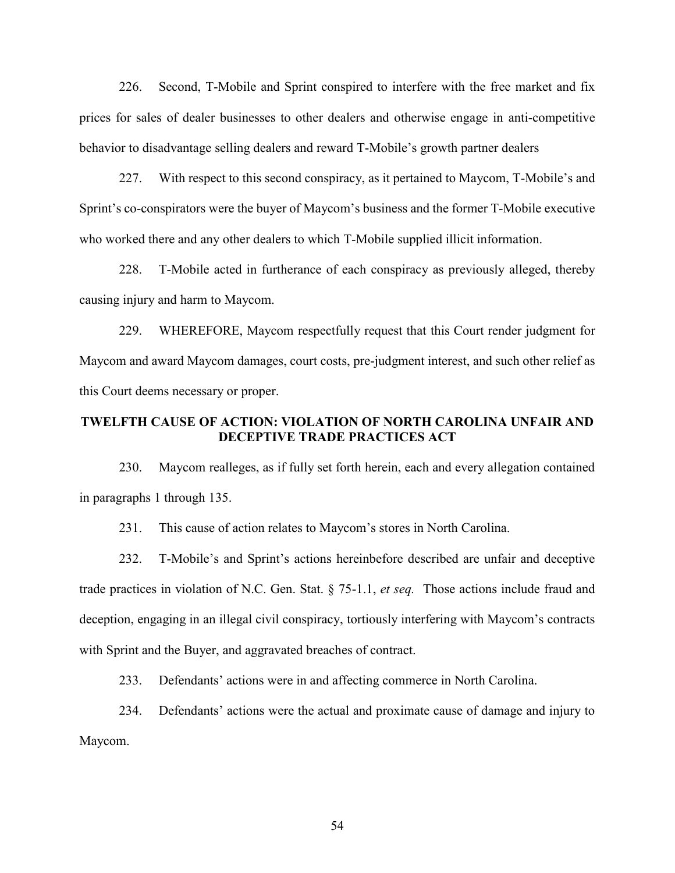226. Second, T-Mobile and Sprint conspired to interfere with the free market and fix prices for sales of dealer businesses to other dealers and otherwise engage in anti-competitive behavior to disadvantage selling dealers and reward T-Mobile's growth partner dealers

227. With respect to this second conspiracy, as it pertained to Maycom, T-Mobile's and Sprint's co-conspirators were the buyer of Maycom's business and the former T-Mobile executive who worked there and any other dealers to which T-Mobile supplied illicit information.

228. T-Mobile acted in furtherance of each conspiracy as previously alleged, thereby causing injury and harm to Maycom.

229. WHEREFORE, Maycom respectfully request that this Court render judgment for Maycom and award Maycom damages, court costs, pre-judgment interest, and such other relief as this Court deems necessary or proper.

# **TWELFTH CAUSE OF ACTION: VIOLATION OF NORTH CAROLINA UNFAIR AND DECEPTIVE TRADE PRACTICES ACT**

230. Maycom realleges, as if fully set forth herein, each and every allegation contained in paragraphs 1 through 135.

231. This cause of action relates to Maycom's stores in North Carolina.

232. T-Mobile's and Sprint's actions hereinbefore described are unfair and deceptive trade practices in violation of N.C. Gen. Stat. § 75-1.1, *et seq.* Those actions include fraud and deception, engaging in an illegal civil conspiracy, tortiously interfering with Maycom's contracts with Sprint and the Buyer, and aggravated breaches of contract.

233. Defendants' actions were in and affecting commerce in North Carolina.

234. Defendants' actions were the actual and proximate cause of damage and injury to Maycom.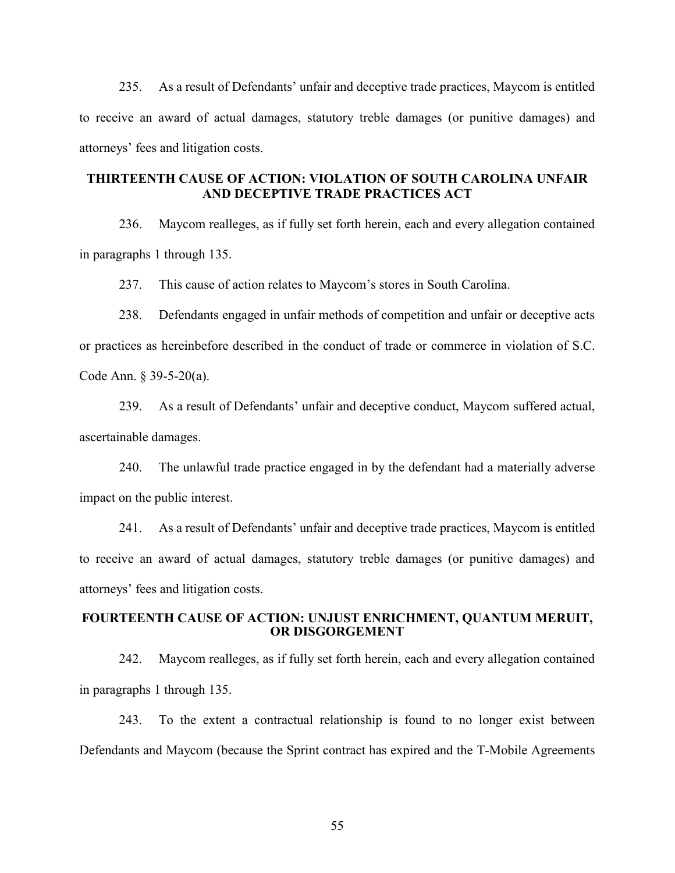235. As a result of Defendants' unfair and deceptive trade practices, Maycom is entitled to receive an award of actual damages, statutory treble damages (or punitive damages) and attorneys' fees and litigation costs.

# **THIRTEENTH CAUSE OF ACTION: VIOLATION OF SOUTH CAROLINA UNFAIR AND DECEPTIVE TRADE PRACTICES ACT**

236. Maycom realleges, as if fully set forth herein, each and every allegation contained in paragraphs 1 through 135.

237. This cause of action relates to Maycom's stores in South Carolina.

238. Defendants engaged in unfair methods of competition and unfair or deceptive acts or practices as hereinbefore described in the conduct of trade or commerce in violation of S.C. Code Ann. § 39-5-20(a).

239. As a result of Defendants' unfair and deceptive conduct, Maycom suffered actual, ascertainable damages.

240. The unlawful trade practice engaged in by the defendant had a materially adverse impact on the public interest.

241. As a result of Defendants' unfair and deceptive trade practices, Maycom is entitled to receive an award of actual damages, statutory treble damages (or punitive damages) and attorneys' fees and litigation costs.

### **FOURTEENTH CAUSE OF ACTION: UNJUST ENRICHMENT, QUANTUM MERUIT, OR DISGORGEMENT**

242. Maycom realleges, as if fully set forth herein, each and every allegation contained in paragraphs 1 through 135.

243. To the extent a contractual relationship is found to no longer exist between Defendants and Maycom (because the Sprint contract has expired and the T-Mobile Agreements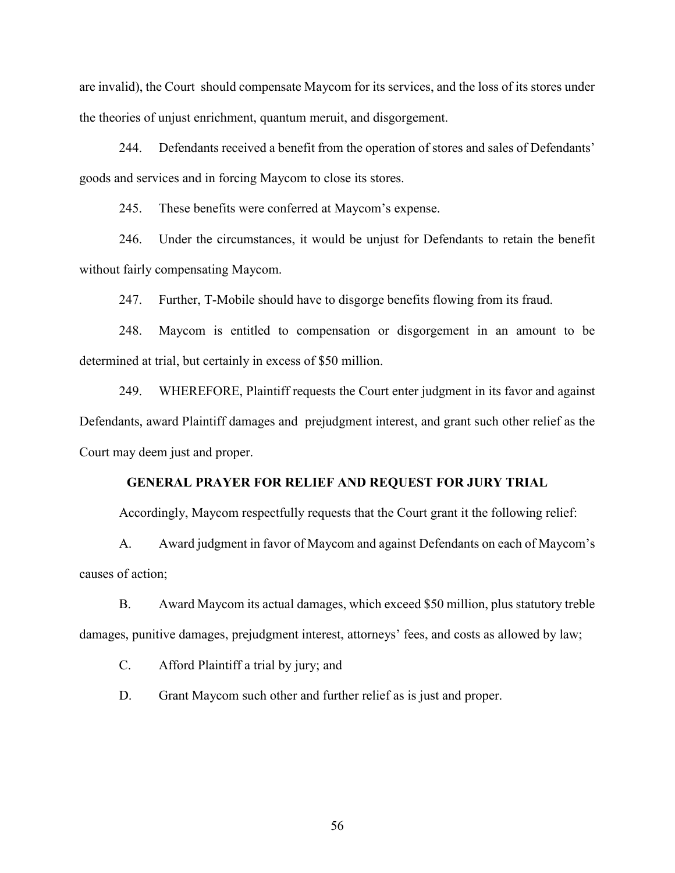are invalid), the Court should compensate Maycom for its services, and the loss of its stores under the theories of unjust enrichment, quantum meruit, and disgorgement.

244. Defendants received a benefit from the operation of stores and sales of Defendants' goods and services and in forcing Maycom to close its stores.

245. These benefits were conferred at Maycom's expense.

246. Under the circumstances, it would be unjust for Defendants to retain the benefit without fairly compensating Maycom.

247. Further, T-Mobile should have to disgorge benefits flowing from its fraud.

248. Maycom is entitled to compensation or disgorgement in an amount to be determined at trial, but certainly in excess of \$50 million.

249. WHEREFORE, Plaintiff requests the Court enter judgment in its favor and against Defendants, award Plaintiff damages and prejudgment interest, and grant such other relief as the Court may deem just and proper.

### **GENERAL PRAYER FOR RELIEF AND REQUEST FOR JURY TRIAL**

Accordingly, Maycom respectfully requests that the Court grant it the following relief:

A. Award judgment in favor of Maycom and against Defendants on each of Maycom's causes of action;

B. Award Maycom its actual damages, which exceed \$50 million, plus statutory treble damages, punitive damages, prejudgment interest, attorneys' fees, and costs as allowed by law;

C. Afford Plaintiff a trial by jury; and

D. Grant Maycom such other and further relief as is just and proper.